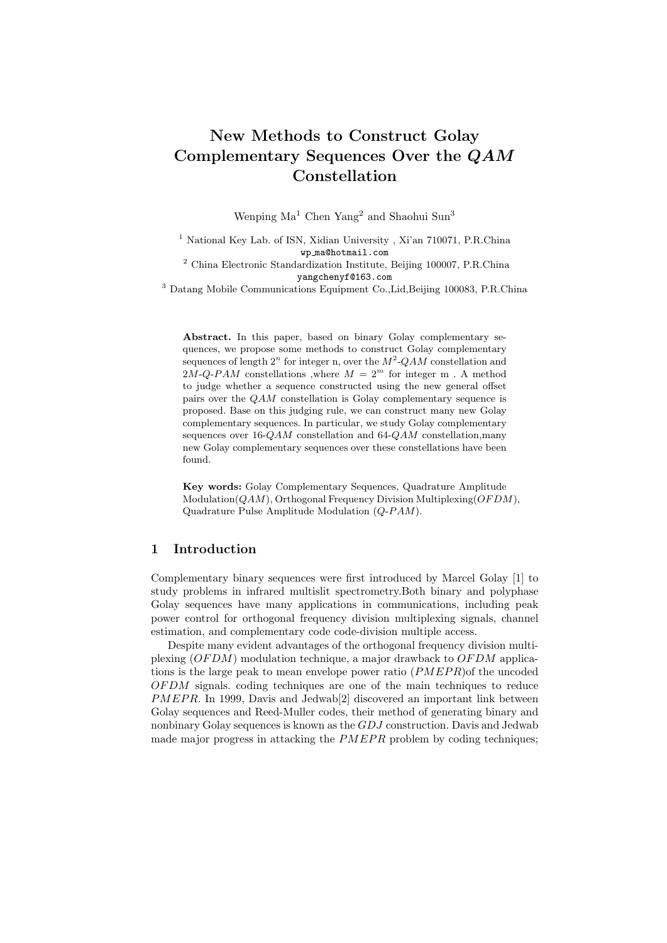# New Methods to Construct Golay Complementary Sequences Over the QAM Constellation

Wenping Ma<sup>1</sup> Chen Yang<sup>2</sup> and Shaohui Sun<sup>3</sup>

<sup>1</sup> National Key Lab. of ISN, Xidian University, Xi'an 710071, P.R.China wp ma@hotmail.com <sup>2</sup> China Electronic Standardization Institute, Beijing 100007, P.R.China

yangchenyf@163.com

<sup>3</sup> Datang Mobile Communications Equipment Co.,Lid,Beijing 100083, P.R.China

Abstract. In this paper, based on binary Golay complementary sequences, we propose some methods to construct Golay complementary sequences of length  $2^n$  for integer n, over the  $M^2$ -QAM constellation and 2M-Q-PAM constellations ,where  $M = 2<sup>m</sup>$  for integer m. A method to judge whether a sequence constructed using the new general offset pairs over the QAM constellation is Golay complementary sequence is proposed. Base on this judging rule, we can construct many new Golay complementary sequences. In particular, we study Golay complementary sequences over 16-QAM constellation and 64-QAM constellation,many new Golay complementary sequences over these constellations have been found.

Key words: Golay Complementary Sequences, Quadrature Amplitude  $Modulation(QAM)$ , Orthogonal Frequency Division Multiplexing( $OFDM$ ), Quadrature Pulse Amplitude Modulation  $(Q-PAM)$ .

#### 1 Introduction

Complementary binary sequences were first introduced by Marcel Golay [1] to study problems in infrared multislit spectrometry.Both binary and polyphase Golay sequences have many applications in communications, including peak power control for orthogonal frequency division multiplexing signals, channel estimation, and complementary code code-division multiple access.

Despite many evident advantages of the orthogonal frequency division multiplexing  $(OFDM)$  modulation technique, a major drawback to  $OFDM$  applications is the large peak to mean envelope power ratio  $(PMEPR)$  of the uncoded OF DM signals. coding techniques are one of the main techniques to reduce PMEPR. In 1999, Davis and Jedwab<sup>[2]</sup> discovered an important link between Golay sequences and Reed-Muller codes, their method of generating binary and nonbinary Golay sequences is known as the GDJ construction. Davis and Jedwab made major progress in attacking the  $PMEPR$  problem by coding techniques;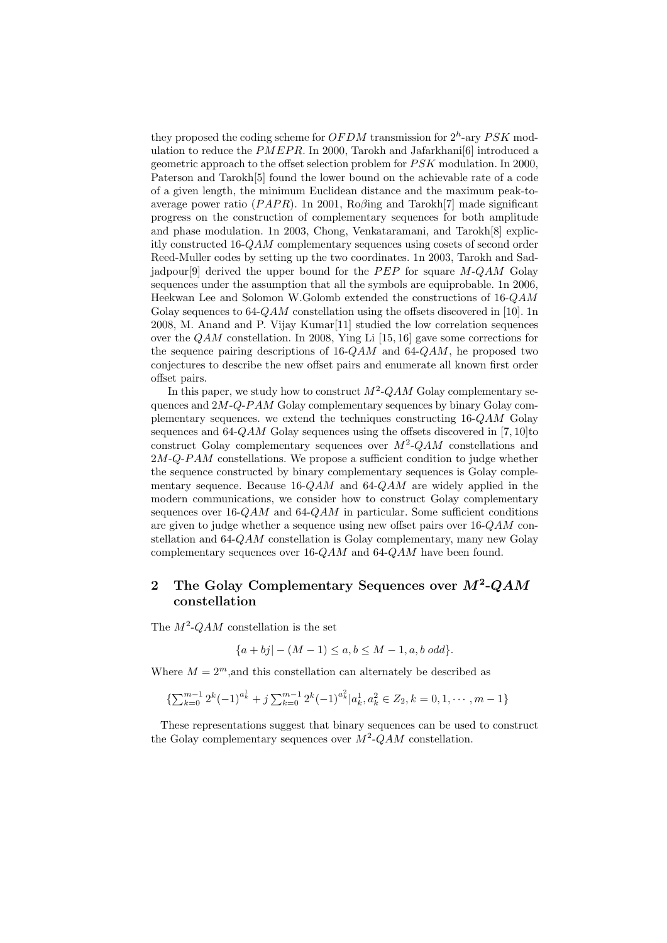they proposed the coding scheme for  $OFDM$  transmission for  $2<sup>h</sup>$ -ary  $PSK$  modulation to reduce the  $PMEPR$ . In 2000, Tarokh and Jafarkhani $[6]$  introduced a geometric approach to the offset selection problem for  $PSK$  modulation. In 2000, Paterson and Tarokh[5] found the lower bound on the achievable rate of a code of a given length, the minimum Euclidean distance and the maximum peak-toaverage power ratio ( $PAPR$ ). 1n 2001, Ro $\beta$ ing and Tarokh[7] made significant progress on the construction of complementary sequences for both amplitude and phase modulation. 1n 2003, Chong, Venkataramani, and Tarokh[8] explicitly constructed 16-QAM complementary sequences using cosets of second order Reed-Muller codes by setting up the two coordinates. 1n 2003, Tarokh and Sadjadpour<sup>[9]</sup> derived the upper bound for the  $PEP$  for square  $M-QAM$  Golay sequences under the assumption that all the symbols are equiprobable. 1n 2006, Heekwan Lee and Solomon W.Golomb extended the constructions of 16-QAM Golay sequences to  $64\text{-}QAM$  constellation using the offsets discovered in [10]. 1n 2008, M. Anand and P. Vijay Kumar[11] studied the low correlation sequences over the  $QAM$  constellation. In 2008, Ying Li [15, 16] gave some corrections for the sequence pairing descriptions of  $16-QAM$  and  $64-QAM$ , he proposed two conjectures to describe the new offset pairs and enumerate all known first order offset pairs.

In this paper, we study how to construct  $M^2$ -QAM Golay complementary sequences and  $2M$ -Q-P $AM$  Golay complementary sequences by binary Golay complementary sequences. we extend the techniques constructing 16-QAM Golay sequences and  $64-QAM$  Golay sequences using the offsets discovered in [7, 10]to construct Golay complementary sequences over  $M^2$ -QAM constellations and  $2M-Q-PAM$  constellations. We propose a sufficient condition to judge whether the sequence constructed by binary complementary sequences is Golay complementary sequence. Because  $16\text{-}QAM$  and  $64\text{-}QAM$  are widely applied in the modern communications, we consider how to construct Golay complementary sequences over  $16\text{-}QAM$  and  $64\text{-}QAM$  in particular. Some sufficient conditions are given to judge whether a sequence using new offset pairs over  $16\text{-}QAM$  constellation and 64-QAM constellation is Golay complementary, many new Golay complementary sequences over 16-QAM and 64-QAM have been found.

# 2 The Golay Complementary Sequences over  $M^2$ -QAM constellation

The  $M^2$ -QAM constellation is the set

$$
\{a+bj | -(M-1) \le a, b \le M-1, a, b \text{ odd}\}.
$$

Where  $M = 2^m$ , and this constellation can alternately be described as

$$
\{\sum_{k=0}^{m-1} 2^k (-1)^{a_k^1} + j \sum_{k=0}^{m-1} 2^k (-1)^{a_k^2} | a_k^1, a_k^2 \in Z_2, k = 0, 1, \cdots, m-1\}
$$

These representations suggest that binary sequences can be used to construct the Golay complementary sequences over  $M^2$ -QAM constellation.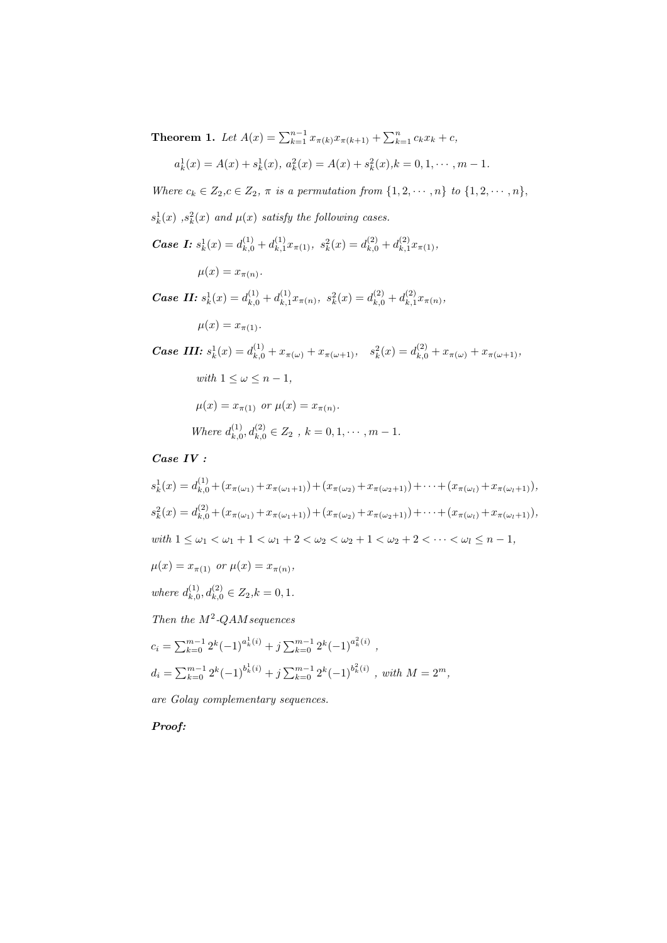**Theorem 1.** Let  $A(x) = \sum_{k=1}^{n-1} x_{\pi(k)} x_{\pi(k+1)} + \sum_{k=1}^{n} c_k x_k + c$ ,

$$
a_k^1(x) = A(x) + s_k^1(x), \ a_k^2(x) = A(x) + s_k^2(x), k = 0, 1, \cdots, m - 1.
$$

Where  $c_k \in Z_2, c \in Z_2, \pi$  is a permutation from  $\{1, 2, \cdots, n\}$  to  $\{1, 2, \cdots, n\}$ ,

- $s_k^1(x)$ ,  $s_k^2(x)$  and  $\mu(x)$  satisfy the following cases.
- **Case I:**  $s_k^1(x) = d_{k,0}^{(1)} + d_{k,1}^{(1)}$  $s_k^{(1)}x_{\pi(1)}, s_k^{2}(x) = d_{k,0}^{(2)} + d_{k,1}^{(2)}$  $x_{k,1}^{(2)}x_{\pi(1)},$

$$
\mu(x) = x_{\pi(n)}.
$$

**Case II:**  $s_k^1(x) = d_{k,0}^{(1)} + d_{k,1}^{(1)}$  $s_k^{(1)}x_{\pi(n)},\ s_k^{2}(x)=d_{k,0}^{(2)}+d_{k,1}^{(2)}$  $x_{k,1}^{(2)} x_{\pi(n)},$ 

 $\mu(x) = x_{\pi(1)}$ .

**Case III:**  $s_k^1(x) = d_{k,0}^{(1)} + x_{\pi(\omega)} + x_{\pi(\omega+1)}, \quad s_k^2(x) = d_{k,0}^{(2)} + x_{\pi(\omega)} + x_{\pi(\omega+1)},$ with  $1 \leq \omega \leq n-1$ ,  $\mu(x) = x_{\pi(1)}$  or  $\mu(x) = x_{\pi(n)}$ . Where  $d_k^{(1)}$  $k_{k,0}^{(1)}, d_{k,0}^{(2)} \in Z_2$  ,  $k = 0, 1, \cdots, m - 1$ .

# Case IV :

$$
s_k^1(x) = d_{k,0}^{(1)} + (x_{\pi(\omega_1)} + x_{\pi(\omega_1+1)}) + (x_{\pi(\omega_2)} + x_{\pi(\omega_2+1)}) + \dots + (x_{\pi(\omega_l)} + x_{\pi(\omega_l+1)}),
$$
  
\n
$$
s_k^2(x) = d_{k,0}^{(2)} + (x_{\pi(\omega_1)} + x_{\pi(\omega_1+1)}) + (x_{\pi(\omega_2)} + x_{\pi(\omega_2+1)}) + \dots + (x_{\pi(\omega_l)} + x_{\pi(\omega_l+1)}),
$$
  
\nwith  $1 \le \omega_1 < \omega_1 + 1 < \omega_1 + 2 < \omega_2 < \omega_2 + 1 < \omega_2 + 2 < \dots < \omega_l \le n - 1,$ 

 $\mu(x) = x_{\pi(1)}$  or  $\mu(x) = x_{\pi(n)}$ ,

where  $d_{k,\text{f}}^{(1)}$  $d_{k,0}^{(1)}, d_{k,0}^{(2)} \in Z_2, k = 0, 1.$ 

Then the  $M^2$ -QAM sequences

$$
c_i = \sum_{k=0}^{m-1} 2^k (-1)^{a_k^1(i)} + j \sum_{k=0}^{m-1} 2^k (-1)^{a_k^2(i)},
$$
  

$$
d_i = \sum_{k=0}^{m-1} 2^k (-1)^{b_k^1(i)} + j \sum_{k=0}^{m-1} 2^k (-1)^{b_k^2(i)}, \text{ with } M = 2^m,
$$

are Golay complementary sequences.

Proof: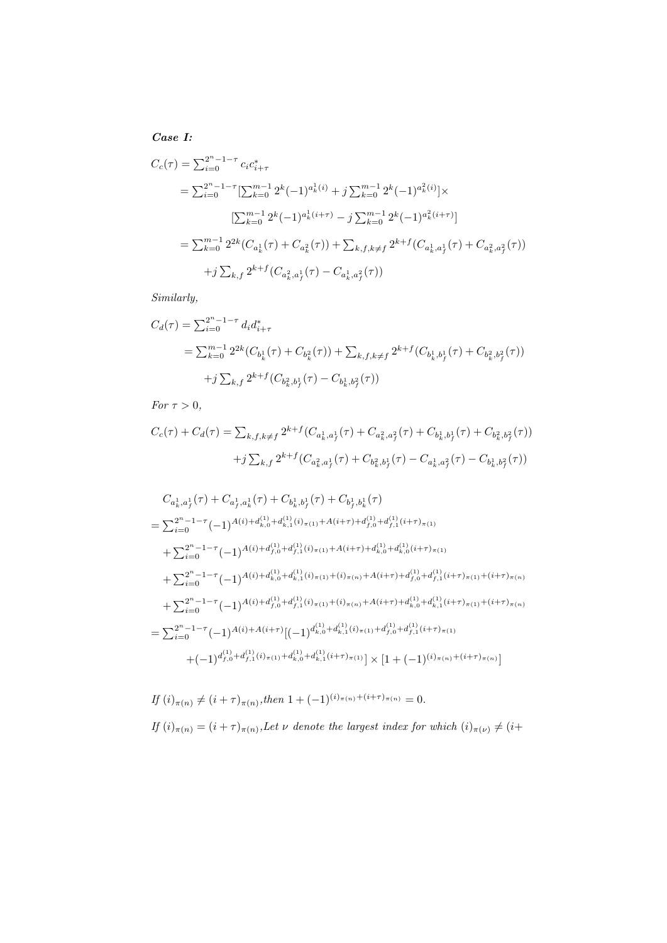Case I:

$$
C_c(\tau) = \sum_{i=0}^{2^n - 1 - \tau} c_i c_{i+\tau}^*
$$
  
\n
$$
= \sum_{i=0}^{2^n - 1 - \tau} \left[ \sum_{k=0}^{m-1} 2^k (-1)^{a_k^1(i)} + j \sum_{k=0}^{m-1} 2^k (-1)^{a_k^2(i)} \right] \times
$$
  
\n
$$
\left[ \sum_{k=0}^{m-1} 2^k (-1)^{a_k^1(i+\tau)} - j \sum_{k=0}^{m-1} 2^k (-1)^{a_k^2(i+\tau)} \right]
$$
  
\n
$$
= \sum_{k=0}^{m-1} 2^{2k} (C_{a_k^1}(\tau) + C_{a_k^2}(\tau)) + \sum_{k,f,k \neq f} 2^{k+f} (C_{a_k^1, a_f^1}(\tau) + C_{a_k^2, a_f^2}(\tau))
$$
  
\n
$$
+ j \sum_{k,f} 2^{k+f} (C_{a_k^2, a_f^1}(\tau) - C_{a_k^1, a_f^2}(\tau))
$$

Similarly,

$$
C_d(\tau) = \sum_{i=0}^{2^n - 1 - \tau} d_i d_{i+\tau}^*
$$
  
=  $\sum_{k=0}^{m-1} 2^{2k} (C_{b_k^1}(\tau) + C_{b_k^2}(\tau)) + \sum_{k, f, k \neq f} 2^{k+f} (C_{b_k^1, b_f^1}(\tau) + C_{b_k^2, b_f^2}(\tau))$   
+  $j \sum_{k, f} 2^{k+f} (C_{b_k^2, b_f^1}(\tau) - C_{b_k^1, b_f^2}(\tau))$ 

For  $\tau > 0$ ,

$$
C_c(\tau) + C_d(\tau) = \sum_{k,f,k \neq f} 2^{k+f} (C_{a_k^1, a_f^1}(\tau) + C_{a_k^2, a_f^2}(\tau) + C_{b_k^1, b_f^1}(\tau) + C_{b_k^2, b_f^2}(\tau))
$$
  
+ $j \sum_{k,f} 2^{k+f} (C_{a_k^2, a_f^1}(\tau) + C_{b_k^2, b_f^1}(\tau) - C_{a_k^1, a_f^2}(\tau) - C_{b_k^1, b_f^2}(\tau))$ 

$$
C_{a_k^1, a_f^1}(\tau) + C_{a_f^1, a_k^1}(\tau) + C_{b_k^1, b_f^1}(\tau) + C_{b_f^1, b_k^1}(\tau)
$$
  
\n
$$
= \sum_{i=0}^{2^n - 1 - \tau} (-1)^{A(i) + d_{k,0}^{(1)} + d_{k,1}^{(1)}(i)_{\pi(1)} + A(i+\tau) + d_{f,0}^{(1)} + d_{f,1}^{(1)}(i+\tau)_{\pi(1)}}
$$
  
\n
$$
+ \sum_{i=0}^{2^n - 1 - \tau} (-1)^{A(i) + d_{f,0}^{(1)} + d_{f,1}^{(1)}(i)_{\pi(1)} + A(i+\tau) + d_{k,0}^{(1)} + d_{k,0}^{(1)}(i+\tau)_{\pi(1)}}
$$
  
\n
$$
+ \sum_{i=0}^{2^n - 1 - \tau} (-1)^{A(i) + d_{k,0}^{(1)} + d_{k,1}^{(1)}(i)_{\pi(1)} + (i)_{\pi(n)} + A(i+\tau) + d_{f,0}^{(1)} + d_{f,1}^{(1)}(i+\tau)_{\pi(1)} + (i+\tau)_{\pi(n)}}
$$
  
\n
$$
+ \sum_{i=0}^{2^n - 1 - \tau} (-1)^{A(i) + d_{f,0}^{(1)} + d_{f,1}^{(1)}(i)_{\pi(1)} + (i)_{\pi(n)} + A(i+\tau) + d_{k,0}^{(1)} + d_{k,1}^{(1)}(i+\tau)_{\pi(1)} + (i+\tau)_{\pi(n)}}
$$
  
\n
$$
= \sum_{i=0}^{2^n - 1 - \tau} (-1)^{A(i) + A(i+\tau)} [(-1)^{d_{k,0}^{(1)} + d_{k,1}^{(1)}(i)_{\pi(1)} + d_{f,0}^{(1)} + d_{f,1}^{(1)}(i+\tau)_{\pi(1)}}
$$
  
\n
$$
+ (-1)^{d_{f,0}^{(1)} + d_{f,1}^{(1)}(i)_{\pi(1)} + d_{k,0}^{(1)} + d_{k,1}^{(1)}(i+\tau)_{\pi(1)} ] \times [1 + (-1)^{(i)_{\pi(n)} + (i+\tau)_{\pi(n)}]}
$$

$$
If (i)_{\pi(n)} \neq (i+\tau)_{\pi(n)}, then 1 + (-1)^{(i)_{\pi(n)} + (i+\tau)_{\pi(n)}} = 0.
$$
  
If (i)\_{\pi(n)} = (i+\tau)\_{\pi(n)}, Let \nu denote the largest index for which (i)\_{\pi(\nu)} \neq (i+\tau)\_{\pi(n)}, then 
$$
[i]_{\pi(n)} \neq (i+\tau)_{\pi(n)}, then
$$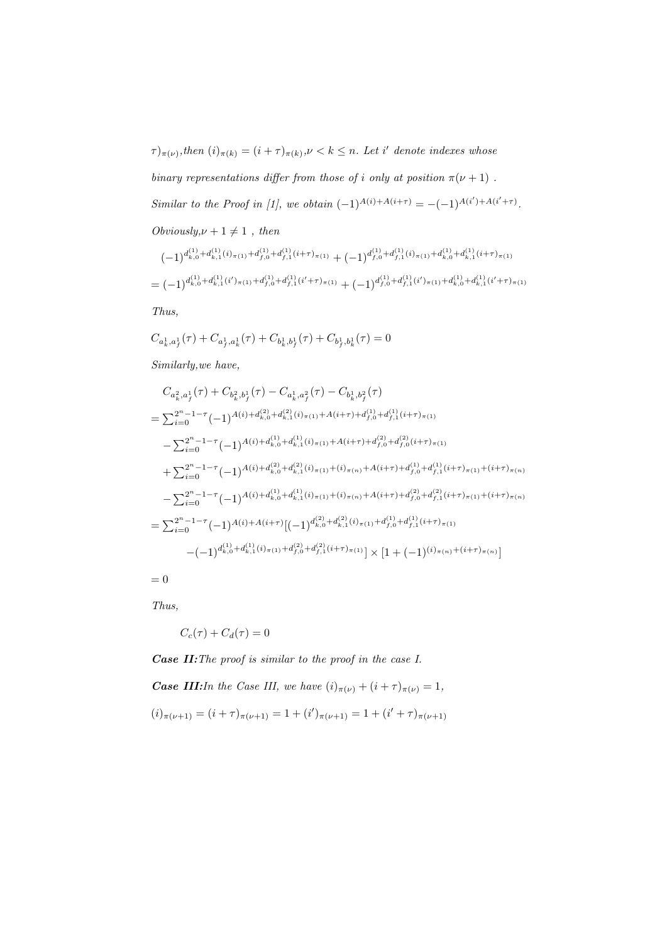$(\tau)_{\pi(\nu)},$  then  $(i)_{\pi(k)} = (i+\tau)_{\pi(k)}, \nu < k \leq n$ . Let i' denote indexes whose

binary representations differ from those of *i* only at position  $\pi(\nu + 1)$ . Similar to the Proof in [1], we obtain  $(-1)^{A(i)+A(i+\tau)} = -(-1)^{A(i')+A(i'+\tau)}$ .  $Obviously, \nu + 1 \neq 1$ , then

$$
(-1)^{d_{k,0}^{(1)} + d_{k,1}^{(1)}(i)_{\pi(1)} + d_{f,0}^{(1)} + d_{f,1}^{(1)}(i+\tau)_{\pi(1)}} + (-1)^{d_{f,0}^{(1)} + d_{f,1}^{(1)}(i)_{\pi(1)} + d_{k,0}^{(1)} + d_{k,1}^{(1)}(i+\tau)_{\pi(1)}} = (-1)^{d_{k,0}^{(1)} + d_{k,1}^{(1)}(i')_{\pi(1)} + d_{f,0}^{(1)} + d_{f,1}^{(1)}(i'+\tau)_{\pi(1)}} + (-1)^{d_{f,0}^{(1)} + d_{f,1}^{(1)}(i')_{\pi(1)} + d_{k,0}^{(1)} + d_{k,1}^{(1)}(i'+\tau)_{\pi(1)}}
$$

Thus,

$$
C_{a_k^1,a_f^1}(\tau)+C_{a_f^1,a_k^1}(\tau)+C_{b_k^1,b_f^1}(\tau)+C_{b_f^1,b_k^1}(\tau)=0
$$

Similarly,we have,

$$
C_{a_k^2, a_f^1}(\tau) + C_{b_k^2, b_f^1}(\tau) - C_{a_k^1, a_f^2}(\tau) - C_{b_k^1, b_f^2}(\tau)
$$
  
\n
$$
= \sum_{i=0}^{2^n - 1 - \tau} (-1)^{A(i) + d_{k,0}^{(2)} + d_{k,1}^{(2)}(i)_{\pi(1)} + A(i+\tau) + d_{f,0}^{(1)} + d_{f,1}^{(1)}(i+\tau)_{\pi(1)}}
$$
  
\n
$$
- \sum_{i=0}^{2^n - 1 - \tau} (-1)^{A(i) + d_{k,0}^{(1)} + d_{k,1}^{(1)}(i)_{\pi(1)} + A(i+\tau) + d_{f,0}^{(2)} + d_{f,0}^{(2)}(i+\tau)_{\pi(1)}}
$$
  
\n
$$
+ \sum_{i=0}^{2^n - 1 - \tau} (-1)^{A(i) + d_{k,0}^{(2)} + d_{k,1}^{(2)}(i)_{\pi(1)} + (i)_{\pi(n)} + A(i+\tau) + d_{f,0}^{(1)} + d_{f,1}^{(1)}(i+\tau)_{\pi(1)} + (i+\tau)_{\pi(n)}}
$$
  
\n
$$
- \sum_{i=0}^{2^n - 1 - \tau} (-1)^{A(i) + d_{k,0}^{(1)} + d_{k,1}^{(1)}(i)_{\pi(1)} + (i)_{\pi(n)} + A(i+\tau) + d_{f,0}^{(2)} + d_{f,1}^{(2)}(i+\tau)_{\pi(1)} + (i+\tau)_{\pi(n)}}
$$
  
\n
$$
= \sum_{i=0}^{2^n - 1 - \tau} (-1)^{A(i) + A(i+\tau)} [(-1)^{d_{k,0}^{(2)} + d_{k,1}^{(2)}(i)_{\pi(1)} + d_{f,0}^{(1)} + d_{f,1}^{(1)}(i+\tau)_{\pi(1)}}]
$$
  
\n
$$
-(-1)^{d_{k,0}^{(1)} + d_{k,1}^{(1)}(i)_{\pi(1)} + d_{f,0}^{(2)} + d_{f,1}^{(2)}(i+\tau)_{\pi(1)}}] \times [1 + (-1)^{(i)_{\pi(n)} + (i+\tau)_{\pi(n)}}]
$$

 $= 0$ 

Thus,

$$
C_c(\tau) + C_d(\tau) = 0
$$

Case II:The proof is similar to the proof in the case I. **Case III:**In the Case III, we have  $(i)_{\pi(\nu)} + (i + \tau)_{\pi(\nu)} = 1$ ,  $(i)_{\pi(\nu+1)} = (i+\tau)_{\pi(\nu+1)} = 1 + (i')_{\pi(\nu+1)} = 1 + (i'+\tau)_{\pi(\nu+1)}$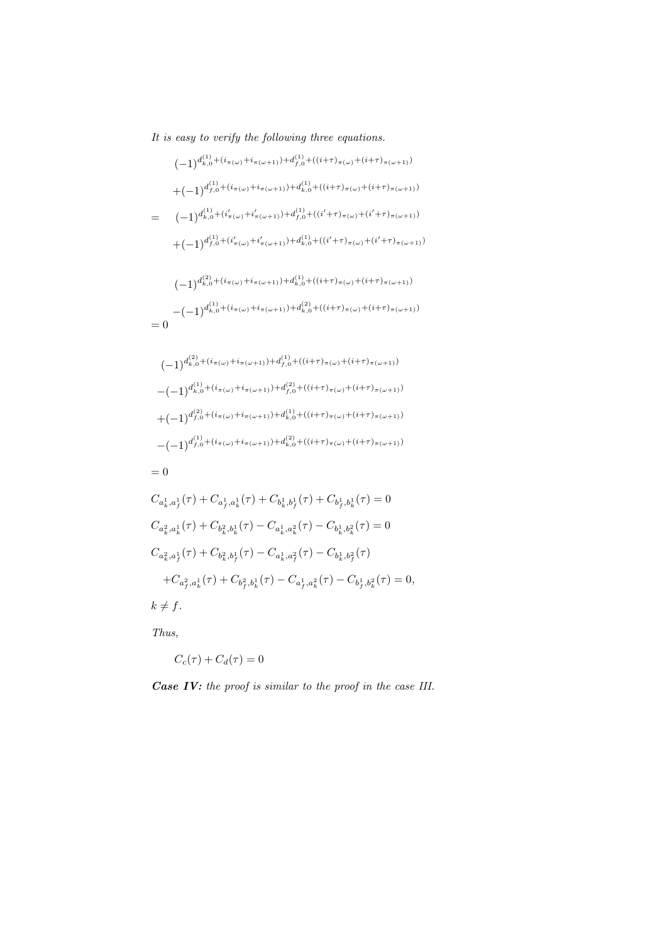It is easy to verify the following three equations.

$$
(-1)^{d_{k,0}^{(1)} + (i_{\pi(\omega)} + i_{\pi(\omega+1)}) + d_{f,0}^{(1)} + ((i+\tau)_{\pi(\omega)} + (i+\tau)_{\pi(\omega+1)})}
$$
  
+ 
$$
(-1)^{d_{f,0}^{(1)} + (i_{\pi(\omega)} + i_{\pi(\omega+1)}) + d_{k,0}^{(1)} + ((i+\tau)_{\pi(\omega)} + (i+\tau)_{\pi(\omega+1)})}
$$
  
= 
$$
(-1)^{d_{k,0}^{(1)} + (i'_{\pi(\omega)} + i'_{\pi(\omega+1)}) + d_{f,0}^{(1)} + ((i'+\tau)_{\pi(\omega)} + (i'+\tau)_{\pi(\omega+1)})}
$$
  
+ 
$$
(-1)^{d_{f,0}^{(1)} + (i'_{\pi(\omega)} + i'_{\pi(\omega+1)}) + d_{k,0}^{(1)} + ((i'+\tau)_{\pi(\omega)} + (i'+\tau)_{\pi(\omega+1)})}
$$
  

$$
(-1)^{d_{k,0}^{(2)} + (i_{\pi(\omega)} + i_{\pi(\omega+1)}) + d_{k,0}^{(1)} + ((i+\tau)_{\pi(\omega)} + (i+\tau)_{\pi(\omega+1)})}
$$
  
- 
$$
(-1)^{d_{k,0}^{(1)} + (i_{\pi(\omega)} + i_{\pi(\omega+1)}) + d_{k,0}^{(2)} + ((i+\tau)_{\pi(\omega)} + (i+\tau)_{\pi(\omega+1)})}
$$
  
= 0

$$
(-1)^{d_{k,0}^{(2)} + (i_{\pi(\omega)} + i_{\pi(\omega+1)}) + d_{f,0}^{(1)} + ((i+\tau)_{\pi(\omega)} + (i+\tau)_{\pi(\omega+1)})}
$$
  
\n
$$
-(-1)^{d_{k,0}^{(1)} + (i_{\pi(\omega)} + i_{\pi(\omega+1)}) + d_{f,0}^{(2)} + ((i+\tau)_{\pi(\omega)} + (i+\tau)_{\pi(\omega+1)})}
$$
  
\n
$$
+(-1)^{d_{f,0}^{(2)} + (i_{\pi(\omega)} + i_{\pi(\omega+1)}) + d_{k,0}^{(1)} + ((i+\tau)_{\pi(\omega)} + (i+\tau)_{\pi(\omega+1)})}
$$
  
\n
$$
-(-1)^{d_{f,0}^{(1)} + (i_{\pi(\omega)} + i_{\pi(\omega+1)}) + d_{k,0}^{(2)} + ((i+\tau)_{\pi(\omega)} + (i+\tau)_{\pi(\omega+1)})}
$$

$$
= 0
$$

$$
\begin{split} &C_{a_k^1,a_f^1}(\tau)+C_{a_f^1,a_k^1}(\tau)+C_{b_k^1,b_f^1}(\tau)+C_{b_f^1,b_k^1}(\tau)=0\\ &C_{a_k^2,a_k^1}(\tau)+C_{b_k^2,b_k^1}(\tau)-C_{a_k^1,a_k^2}(\tau)-C_{b_k^1,b_k^2}(\tau)=0\\ &C_{a_k^2,a_f^1}(\tau)+C_{b_k^2,b_f^1}(\tau)-C_{a_k^1,a_f^2}(\tau)-C_{b_k^1,b_f^2}(\tau)\\ &+C_{a_f^2,a_k^1}(\tau)+C_{b_f^2,b_k^1}(\tau)-C_{a_f^1,a_k^2}(\tau)-C_{b_f^1,b_k^2}(\tau)=0,\\ &k\neq f. \end{split}
$$

Thus,

$$
C_c(\tau) + C_d(\tau) = 0
$$

Case IV: the proof is similar to the proof in the case III.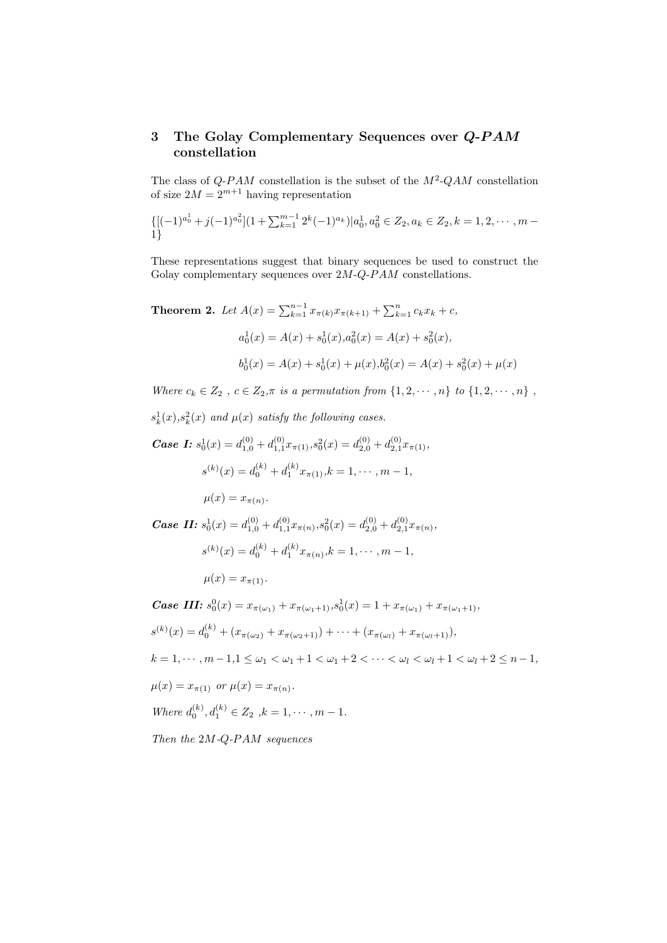## 3 The Golay Complementary Sequences over Q-PAM constellation

The class of  $Q$ -PAM constellation is the subset of the  $M^2$ -QAM constellation of size  $2M = 2^{m+1}$  having representation

$$
\{[(-1)^{a_0^1}+j(-1)^{a_0^2}](1+\sum_{k=1}^{m-1}2^k(-1)^{a_k})|a_0^1,a_0^2\in Z_2,a_k\in Z_2,k=1,2,\cdots,m-1\}
$$

These representations suggest that binary sequences be used to construct the Golay complementary sequences over  $2M-Q$ - $PAM$  constellations.

**Theorem 2.** Let  $A(x) = \sum_{k=1}^{n-1} x_{\pi(k)} x_{\pi(k+1)} + \sum_{k=1}^{n} c_k x_k + c$ ,  $a_0^1(x) = A(x) + s_0^1(x), a_0^2(x) = A(x) + s_0^2(x),$  $b_0^1(x) = A(x) + s_0^1(x) + \mu(x), b_0^2(x) = A(x) + s_0^2(x) + \mu(x)$ 

Where  $c_k \in Z_2$ ,  $c \in Z_2, \pi$  is a permutation from  $\{1, 2, \dots, n\}$  to  $\{1, 2, \dots, n\}$ ,

 $s_k^1(x), s_k^2(x)$  and  $\mu(x)$  satisfy the following cases.

**Case I:**  $s_0^1(x) = d_{1,0}^{(0)} + d_{1,1}^{(0)} x_{\pi(1)}, s_0^2(x) = d_{2,0}^{(0)} + d_{2,1}^{(0)} x_{\pi(1)},$  $s^{(k)}(x) = d_0^{(k)} + d_1^{(k)} x_{\pi(1)}, k = 1, \cdots, m-1,$  $\mu(x)=x_{\pi(n)}$ .

*Case II:*  $s_0^1(x) = d_{1,0}^{(0)} + d_{1,1}^{(0)} x_{\pi(n)}, s_0^2(x) = d_{2,0}^{(0)} + d_{2,1}^{(0)} x_{\pi(n)},$  $s^{(k)}(x) = d_0^{(k)} + d_1^{(k)} x_{\pi(n)}, k = 1, \cdots, m-1,$ 

$$
\mu(x) = x_{\pi(1)}.
$$

**Case III:**  $s_0^0(x) = x_{\pi(\omega_1)} + x_{\pi(\omega_1+1)}, s_0^1(x) = 1 + x_{\pi(\omega_1)} + x_{\pi(\omega_1+1)},$  $s^{(k)}(x) = d_0^{(k)} + (x_{\pi(\omega_2)} + x_{\pi(\omega_2+1)}) + \cdots + (x_{\pi(\omega_l)} + x_{\pi(\omega_l+1)}),$  $k = 1, \dots, m - 1, 1 \leq \omega_1 \leq \omega_1 + 1 \leq \omega_1 + 2 \leq \dots \leq \omega_l \leq \omega_l + 1 \leq \omega_l + 2 \leq n - 1,$  $\mu(x) = x_{\pi(1)}$  or  $\mu(x) = x_{\pi(n)}$ . Where  $d_0^{(k)}$ ,  $d_1^{(k)} \in Z_2$ ,  $k = 1, \dots, m - 1$ .

Then the 2M-Q-PAM sequences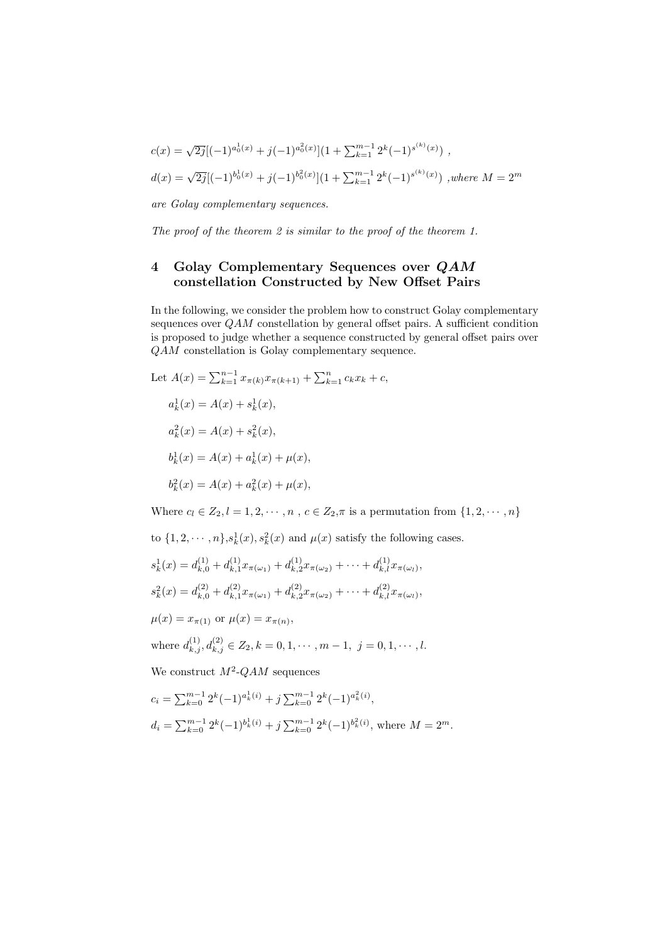$$
c(x) = \sqrt{2j} [(-1)^{a_0^1(x)} + j(-1)^{a_0^2(x)}] (1 + \sum_{k=1}^{m-1} 2^k (-1)^{s^{(k)}(x)}) ,
$$
  

$$
d(x) = \sqrt{2j} [(-1)^{b_0^1(x)} + j(-1)^{b_0^2(x)}] (1 + \sum_{k=1}^{m-1} 2^k (-1)^{s^{(k)}(x)}) , where M = 2^m
$$

are Golay complementary sequences.

The proof of the theorem 2 is similar to the proof of the theorem 1.

## 4 Golay Complementary Sequences over  $QAM$ constellation Constructed by New Offset Pairs

In the following, we consider the problem how to construct Golay complementary sequences over  $QAM$  constellation by general offset pairs. A sufficient condition is proposed to judge whether a sequence constructed by general offset pairs over QAM constellation is Golay complementary sequence.

Let 
$$
A(x) = \sum_{k=1}^{n-1} x_{\pi(k)} x_{\pi(k+1)} + \sum_{k=1}^{n} c_k x_k + c
$$
,  
\n $a_k^1(x) = A(x) + s_k^1(x)$ ,  
\n $a_k^2(x) = A(x) + s_k^2(x)$ ,  
\n $b_k^1(x) = A(x) + a_k^1(x) + \mu(x)$ ,  
\n $b_k^2(x) = A(x) + a_k^2(x) + \mu(x)$ ,

Where  $c_l \in Z_2, l = 1, 2, \cdots, n$ ,  $c \in Z_2, \pi$  is a permutation from  $\{1, 2, \cdots, n\}$ 

to  $\{1, 2, \dots, n\}$ ,  $s_k^1(x)$ ,  $s_k^2(x)$  and  $\mu(x)$  satisfy the following cases.  $s_k^1(x) = d_{k,0}^{(1)} + d_{k,1}^{(1)}$  $d_{k,1}^{(1)}x_{\pi(\omega_1)}+d_{k,2}^{(1)}$  $x_{k,2}^{(1)}x_{\pi(\omega_2)} + \cdots + d_{k,l}^{(1)}x_{\pi(\omega_l)},$  $s_k^2(x) = d_{k,0}^{(2)} + d_{k,1}^{(2)}$  $d_{k,1}^{(2)}x_{\pi(\omega_1)}+d_{k,2}^{(2)}$  $h_{k,2}^{(2)}x_{\pi(\omega_2)} + \cdots + d_{k,l}^{(2)}x_{\pi(\omega_l)},$  $\mu(x) = x_{\pi(1)}$  or  $\mu(x) = x_{\pi(n)}$ , where  $d_{k,j}^{(1)}, d_{k,j}^{(2)} \in Z_2, k = 0, 1, \cdots, m-1, j = 0, 1, \cdots, l.$ We construct  $M^2$ - $QAM$  sequences  $c_i = \sum_{k=0}^{m-1} 2^k (-1)^{a_k^1(i)} + j \sum_{k=0}^{m-1} 2^k (-1)^{a_k^2(i)},$ 

$$
d_i = \sum_{k=0}^{m-1} 2^k (-1)^{b_k^1(i)} + j \sum_{k=0}^{m-1} 2^k (-1)^{b_k^2(i)},
$$
 where  $M = 2^m$ .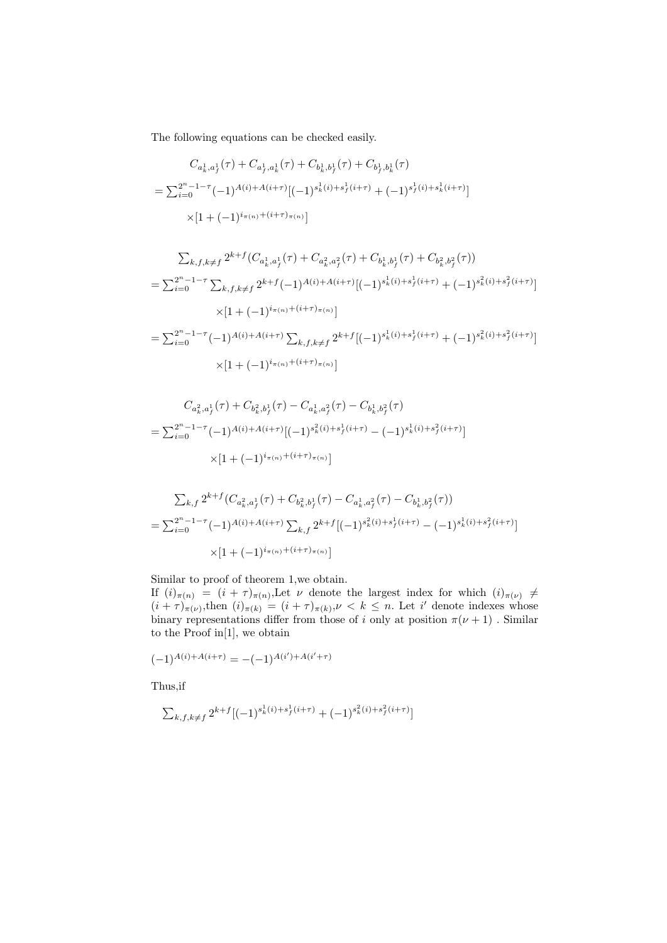The following equations can be checked easily.

$$
C_{a_k^1, a_f^1}(\tau) + C_{a_f^1, a_k^1}(\tau) + C_{b_k^1, b_f^1}(\tau) + C_{b_f^1, b_k^1}(\tau)
$$
  
=  $\sum_{i=0}^{2^n - 1 - \tau} (-1)^{A(i) + A(i + \tau)} [(-1)^{s_k^1(i) + s_f^1(i + \tau)} + (-1)^{s_f^1(i) + s_k^1(i + \tau)}]$   
 $\times [1 + (-1)^{i_{\pi(n)} + (i + \tau)_{\pi(n)}}]$ 

$$
\sum_{k,f,k\neq f} 2^{k+f} (C_{a_k^1,a_f^1}(\tau) + C_{a_k^2,a_f^2}(\tau) + C_{b_k^1,b_f^1}(\tau) + C_{b_k^2,b_f^2}(\tau))
$$
\n
$$
= \sum_{i=0}^{2^n - 1 - \tau} \sum_{k,f,k\neq f} 2^{k+f} (-1)^{A(i) + A(i+\tau)} [(-1)^{s_k^1(i) + s_f^1(i+\tau)} + (-1)^{s_k^2(i) + s_f^2(i+\tau)}]
$$
\n
$$
\times [1 + (-1)^{i_{\pi(n)} + (i+\tau)_{\pi(n)}}]
$$
\n
$$
= \sum_{i=0}^{2^n - 1 - \tau} (-1)^{A(i) + A(i+\tau)} \sum_{k,f,k\neq f} 2^{k+f} [(-1)^{s_k^1(i) + s_f^1(i+\tau)} + (-1)^{s_k^2(i) + s_f^2(i+\tau)}]
$$
\n
$$
\times [1 + (-1)^{i_{\pi(n)} + (i+\tau)_{\pi(n)}}]
$$

$$
C_{a_k^2, a_f^1}(\tau) + C_{b_k^2, b_f^1}(\tau) - C_{a_k^1, a_f^2}(\tau) - C_{b_k^1, b_f^2}(\tau)
$$
  
= 
$$
\sum_{i=0}^{2^n - 1 - \tau} (-1)^{A(i) + A(i + \tau)} [(-1)^{s_k^2(i) + s_f^1(i + \tau)} - (-1)^{s_k^1(i) + s_f^2(i + \tau)}]
$$
  

$$
\times [1 + (-1)^{i_{\pi(n)} + (i + \tau)_{\pi(n)}}]
$$

$$
\sum_{k,f} 2^{k+f} (C_{a_k^2, a_f^1}(\tau) + C_{b_k^2, b_f^1}(\tau) - C_{a_k^1, a_f^2}(\tau) - C_{b_k^1, b_f^2}(\tau))
$$
\n
$$
= \sum_{i=0}^{2^n - 1 - \tau} (-1)^{A(i) + A(i+\tau)} \sum_{k,f} 2^{k+f} [(-1)^{s_k^2(i) + s_f^1(i+\tau)} - (-1)^{s_k^1(i) + s_f^2(i+\tau)}]
$$
\n
$$
\times [1 + (-1)^{i_{\pi(n)} + (i+\tau)_{\pi(n)}}]
$$

Similar to proof of theorem 1,we obtain. If  $(i)_{\pi(n)} = (i + \tau)_{\pi(n)}$ , Let  $\nu$  denote the largest index for which  $(i)_{\pi(\nu)} \neq$  $(i+\tau)_{\pi(\nu)}^{\dagger}$ , then  $(i)_{\pi(k)} = (i+\tau)_{\pi(k)}$ ,  $\nu < k \leq n$ . Let i' denote indexes whose binary representations differ from those of i only at position  $\pi(\nu + 1)$ . Similar to the Proof in[1], we obtain

$$
(-1)^{A(i)+A(i+\tau)} = -(-1)^{A(i')+A(i'+\tau)}
$$

Thus,if

$$
\sum_{k,f,k\neq f} 2^{k+f}[(-1)^{s^1_k(i)+s^1_f(i+\tau)}+(-1)^{s^2_k(i)+s^2_f(i+\tau)}]
$$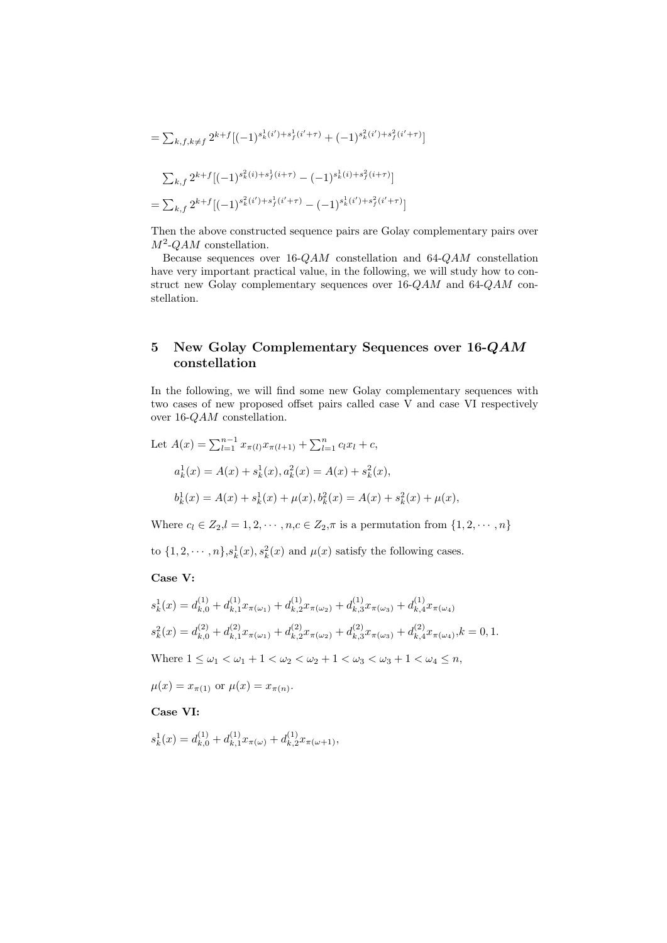$$
= \sum_{k,f,k\neq f} 2^{k+f} [(-1)^{s_k^1(i') + s_f^1(i' + \tau)} + (-1)^{s_k^2(i') + s_f^2(i' + \tau)}]
$$
  

$$
\sum_{k,f} 2^{k+f} [(-1)^{s_k^2(i) + s_f^1(i + \tau)} - (-1)^{s_k^1(i) + s_f^2(i + \tau)}]
$$
  

$$
= \sum_{k,f} 2^{k+f} [(-1)^{s_k^2(i') + s_f^1(i' + \tau)} - (-1)^{s_k^1(i') + s_f^2(i' + \tau)}]
$$

Then the above constructed sequence pairs are Golay complementary pairs over  $M^2$ -QAM constellation.

Because sequences over 16-QAM constellation and 64-QAM constellation have very important practical value, in the following, we will study how to construct new Golay complementary sequences over 16-QAM and 64-QAM constellation.

## 5 New Golay Complementary Sequences over 16-QAM constellation

In the following, we will find some new Golay complementary sequences with two cases of new proposed offset pairs called case V and case VI respectively over 16-QAM constellation.

Let 
$$
A(x) = \sum_{l=1}^{n-1} x_{\pi(l)} x_{\pi(l+1)} + \sum_{l=1}^{n} c_l x_l + c,
$$
  
\n $a_k^1(x) = A(x) + s_k^1(x), a_k^2(x) = A(x) + s_k^2(x),$   
\n $b_k^1(x) = A(x) + s_k^1(x) + \mu(x), b_k^2(x) = A(x) + s_k^2(x) + \mu(x),$ 

Where  $c_l \in Z_2, l = 1, 2, \cdots, n, c \in Z_2, \pi$  is a permutation from  $\{1, 2, \cdots, n\}$ 

to  $\{1, 2, \dots, n\}$ ,  $s_k^1(x)$ ,  $s_k^2(x)$  and  $\mu(x)$  satisfy the following cases.

#### Case V:

$$
s_k^1(x) = d_{k,0}^{(1)} + d_{k,1}^{(1)} x_{\pi(\omega_1)} + d_{k,2}^{(1)} x_{\pi(\omega_2)} + d_{k,3}^{(1)} x_{\pi(\omega_3)} + d_{k,4}^{(1)} x_{\pi(\omega_4)}
$$
  
\n
$$
s_k^2(x) = d_{k,0}^{(2)} + d_{k,1}^{(2)} x_{\pi(\omega_1)} + d_{k,2}^{(2)} x_{\pi(\omega_2)} + d_{k,3}^{(2)} x_{\pi(\omega_3)} + d_{k,4}^{(2)} x_{\pi(\omega_4)}, k = 0, 1.
$$
  
\nWhere  $1 \le \omega_1 < \omega_1 + 1 < \omega_2 < \omega_2 + 1 < \omega_3 < \omega_3 + 1 < \omega_4 \le n$ ,

 $\mu(x) = x_{\pi(1)}$  or  $\mu(x) = x_{\pi(n)}$ .

Case VI:

$$
s_k^1(x) = d_{k,0}^{(1)} + d_{k,1}^{(1)} x_{\pi(\omega)} + d_{k,2}^{(1)} x_{\pi(\omega+1)},
$$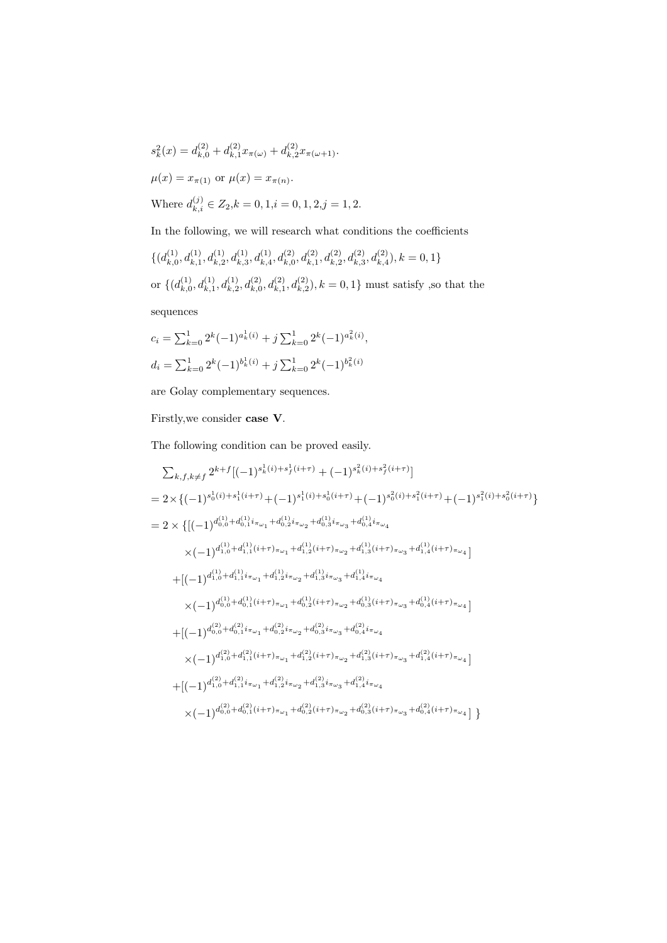$$
s_k^2(x) = d_{k,0}^{(2)} + d_{k,1}^{(2)} x_{\pi(\omega)} + d_{k,2}^{(2)} x_{\pi(\omega+1)}.
$$
  

$$
\mu(x) = x_{\pi(1)} \text{ or } \mu(x) = x_{\pi(n)}.
$$
  
Where  $d_{k,i}^{(j)} \in Z_2, k = 0, 1, i = 0, 1, 2, j = 1, 2.$ 

In the following, we will research what conditions the coefficients

$$
\begin{aligned} &\{(d_{k,0}^{(1)},d_{k,1}^{(1)},d_{k,2}^{(1)},d_{k,3}^{(1)},d_{k,4}^{(1)},d_{k,0}^{(2)},d_{k,1}^{(2)},d_{k,2}^{(2)},d_{k,3}^{(2)},d_{k,4}^{(2)}), k=0,1\} \\ &\text{or}~\{(d_{k,0}^{(1)},d_{k,1}^{(1)},d_{k,2}^{(1)},d_{k,0}^{(2)},d_{k,1}^{(2)},d_{k,2}^{(2)}), k=0,1\}~\text{must satisfy}, \text{so that the sequences} \end{aligned}
$$

$$
c_i = \sum_{k=0}^{1} 2^k (-1)^{a_k^1(i)} + j \sum_{k=0}^{1} 2^k (-1)^{a_k^2(i)},
$$
  

$$
d_i = \sum_{k=0}^{1} 2^k (-1)^{b_k^1(i)} + j \sum_{k=0}^{1} 2^k (-1)^{b_k^2(i)}
$$

are Golay complementary sequences.

Firstly,we consider case V.

The following condition can be proved easily.

$$
\begin{split} & \sum_{k,f,k\neq f} 2^{k+f} [(-1)^{s_k^1(i)+s_f^1(i+\tau)} + (-1)^{s_k^2(i)+s_f^2(i+\tau)}] \\ & = 2\times \big\{ (-1)^{s_0^1(i)+s_1^1(i+\tau)} + (-1)^{s_1^1(i)+s_0^1(i+\tau)} + (-1)^{s_0^2(i)+s_1^2(i+\tau)} + (-1)^{s_1^2(i)+s_0^2(i+\tau)} \big\} \\ & = 2\times \big\{ [(-1)^{d_{0,0}^{(1)}+d_{0,1}^{(1)}i_{\pi\omega_1}+d_{0,2}^{(1)}i_{\pi\omega_2}+d_{0,3}^{(1)}i_{\pi\omega_3}+d_{0,4}^{(1)}i_{\pi\omega_4} \\ & \times (-1)^{d_{1,0}^{(1)}+d_{1,1}^{(1)}(i+\tau)} \pi_{\omega_1}+d_{1,2}^{(1)}(i+\tau)} \pi_{\omega_2}+d_{1,3}^{(1)}(i+\tau)} \pi_{\omega_3}+d_{1,4}^{(1)}(i+\tau)} \pi_{\omega_4}] \\ & + [(-1)^{d_{1,0}^{(1)}+d_{1,1}^{(1)}i_{\pi\omega_1}+d_{1,2}^{(1)}i_{\pi\omega_2}+d_{1,3}^{(1)}i_{\pi\omega_3}+d_{1,4}^{(1)}i_{\pi\omega_4} \\ & \times (-1)^{d_{0,0}^{(1)}+d_{0,1}^{(1)}(i+\tau)} \pi_{\omega_1}+d_{0,2}^{(1)}(i+\tau)} \pi_{\omega_2}+d_{0,3}^{(1)}(i+\tau)} \pi_{\omega_3}+d_{0,4}^{(1)}(i+\tau)} \pi_{\omega_4}] \\ & + [(-1)^{d_{0,0}^{(2)}+d_{0,1}^{(2)}i_{\pi\omega_1}+d_{0,2}^{(2)}i_{\pi\omega_2}+d_{0,3}^{(2)}i_{\pi\omega_3}+d_{0,4}^{(2)}i_{\pi\omega_4} \\ & \times (-1)^{d_{1,0}^{(2)}+d_{1,1}^{(2)}(i+\tau)} \pi_{\omega_1}+d_{1,2}^{(2)}(i+\tau)} \pi_{\omega_2}+d_{1
$$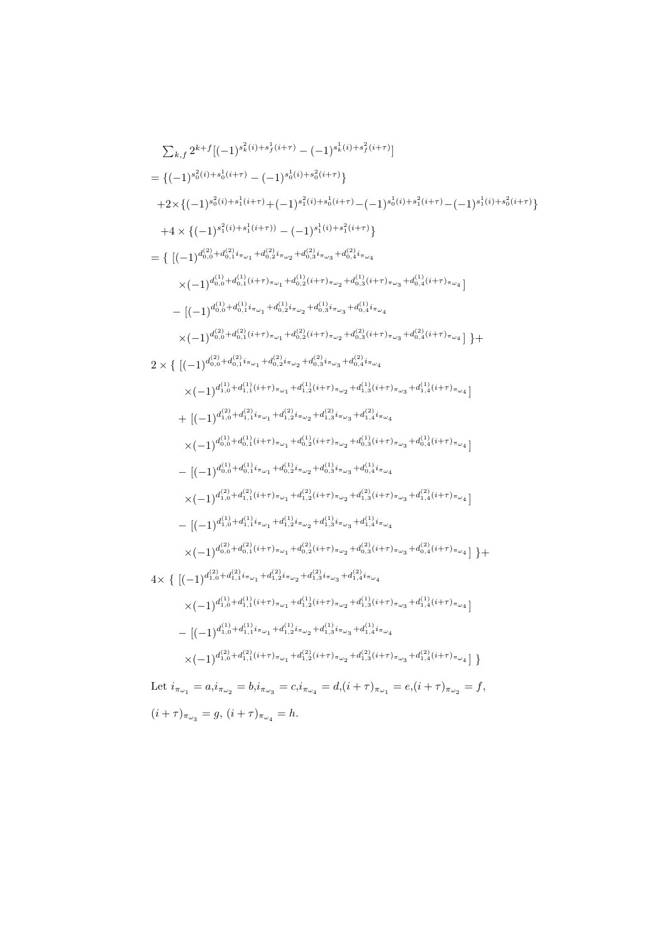$$
\sum_{k,f} 2^{k+f} \left[ (-1)^{s_{k}^{2}(i)+s_{j}^{1}(i+\tau)} - (-1)^{s_{k}^{1}(i)+s_{j}^{2}(i+\tau)} \right]
$$
\n
$$
= \{ (-1)^{s_{0}^{2}(i)+s_{0}^{1}(i+\tau)} - (-1)^{s_{0}^{1}(i)+s_{0}^{2}(i+\tau)} \}
$$
\n
$$
+2 \times \{ (-1)^{s_{0}^{2}(i)+s_{1}^{1}(i+\tau)} + (-1)^{s_{1}^{2}(i)+s_{0}^{1}(i+\tau)} - (-1)^{s_{0}^{1}(i)+s_{1}^{2}(i+\tau)} - (-1)^{s_{1}^{1}(i)+s_{0}^{2}(i+\tau)} \}
$$
\n
$$
+4 \times \{ (-1)^{s_{1}^{2}(i)+s_{1}^{1}(i+\tau)} - (-1)^{s_{1}^{1}(i)+s_{0}^{2}(i+\tau)} \}
$$
\n
$$
= \{ \left[ (-1)^{d_{0,0}^{2}(i+d_{0,1}^{2}(i+\tau)) - (1)^{s_{1}^{1}(i)+s_{0}^{2}(i+\tau)} \right]
$$
\n
$$
- \left[ (-1)^{d_{0,0}^{1}(i+d_{0,1}^{2}(i+\tau)) - a_{1}^{1}(i)(1+s_{0,2}^{2}(i+\tau)) - a_{0,2}^{1}(i)(1+s_{0,2}^{2}(i+\tau)) - a_{0,2}^{1}(i)(1+s_{0,2}^{2}(i+\tau)) - a_{0,2}^{1}(i)(1+s_{0,2}^{2}(i+\tau)) - a_{0,2}^{1}(i)(1+s_{0,2}^{2}(i+\tau)) - a_{0,2}^{1}(i)(1+s_{0,2}^{2}(i+\tau)) - a_{0,2}^{1}(i+\tau)) - a_{0,2}^{1}(i+\tau)) - a_{0,2}^{1}(i+\tau) - a_{0,2}^{1}(i+\tau) - a_{0,2}^{1}(i+\tau)) - a_{0,2}^{1}(i+\tau) - a_{0,2}^{1}(i+\tau) - a_{0,2}^{1}(i+\tau) - a_{0,2}^{1}(i+\tau) - a_{0,2}^{1}(i+\tau) - a_{0,2}^{1}(i+\tau) - a_{0,2}^{1}(i+\tau) - a_{0,2}^{1}(i+\tau) - a
$$

Let  $i_{\pi_{\omega_1}} = a_i i_{\pi_{\omega_2}} = b_i i_{\pi_{\omega_3}} = c_i i_{\pi_{\omega_4}} = d_i (i + \tau)_{\pi_{\omega_1}} = e_i (i + \tau)_{\pi_{\omega_2}} = f$ ,  $(i + \tau)_{\pi_{\omega_3}} = g, (i + \tau)_{\pi_{\omega_4}} = h.$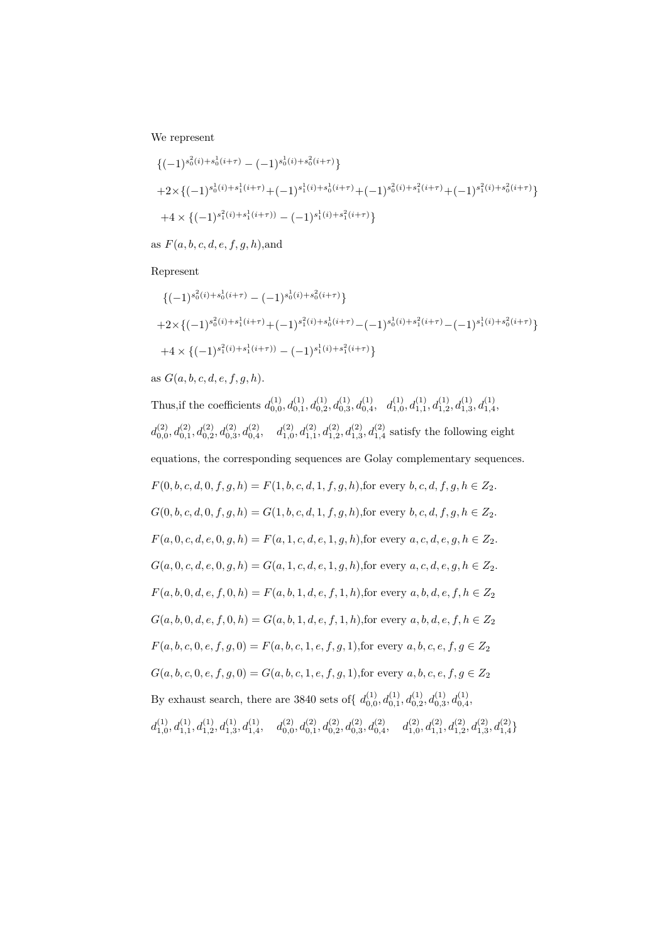We represent

$$
\begin{aligned} & \left\{ (-1)^{s_0^2(i) + s_0^1(i+\tau)} - (-1)^{s_0^1(i) + s_0^2(i+\tau)} \right\} \\ & + 2 \times \left\{ (-1)^{s_0^1(i) + s_1^1(i+\tau)} + (-1)^{s_1^1(i) + s_0^1(i+\tau)} + (-1)^{s_0^2(i) + s_1^2(i+\tau)} + (-1)^{s_1^2(i) + s_0^2(i+\tau)} \right\} \\ & + 4 \times \left\{ (-1)^{s_1^2(i) + s_1^1(i+\tau)} - (-1)^{s_1^1(i) + s_1^2(i+\tau)} \right\} \end{aligned}
$$

as  $F(a, b, c, d, e, f, q, h)$ , and

Represent

$$
\begin{aligned} & \left\{ (-1)^{s_0^2(i) + s_0^1(i+\tau)} - (-1)^{s_0^1(i) + s_0^2(i+\tau)} \right\} \\ & + 2 \times \left\{ (-1)^{s_0^2(i) + s_1^1(i+\tau)} + (-1)^{s_1^2(i) + s_0^1(i+\tau)} - (-1)^{s_0^1(i) + s_1^2(i+\tau)} - (-1)^{s_1^1(i) + s_0^2(i+\tau)} \right\} \\ & + 4 \times \left\{ (-1)^{s_1^2(i) + s_1^1(i+\tau))} - (-1)^{s_1^1(i) + s_1^2(i+\tau)} \right\} \end{aligned}
$$

as  $G(a, b, c, d, e, f, g, h)$ .

Thus, if the coefficients  $d_{0,0}^{(1)}, d_{0,1}^{(1)}, d_{0,2}^{(1)}, d_{0,3}^{(1)}, d_{0,4}^{(1)}, d_{1,0}^{(1)}, d_{1,1}^{(1)}, d_{1,2}^{(1)}, d_{1,3}^{(1)}, d_{1,4}^{(1)}$  $d_{0,0}^{(2)}, d_{0,1}^{(2)}, d_{0,2}^{(2)}, d_{0,3}^{(2)}, d_{0,4}^{(2)}, \quad d_{1,0}^{(2)}, d_{1,1}^{(2)}, d_{1,2}^{(2)}, d_{1,3}^{(2)}, d_{1,4}^{(2)}$  satisfy the following eight equations, the corresponding sequences are Golay complementary sequences.  $F(0, b, c, d, 0, f, g, h) = F(1, b, c, d, 1, f, g, h)$ , for every  $b, c, d, f, g, h \in Z_2$ .  $G(0, b, c, d, 0, f, g, h) = G(1, b, c, d, 1, f, g, h)$ , for every  $b, c, d, f, g, h \in Z_2$ .  $F(a, 0, c, d, e, 0, g, h) = F(a, 1, c, d, e, 1, g, h)$ , for every  $a, c, d, e, g, h \in Z_2$ .  $G(a, 0, c, d, e, 0, g, h) = G(a, 1, c, d, e, 1, g, h)$ , for every  $a, c, d, e, g, h \in Z_2$ .  $F(a, b, 0, d, e, f, 0, h) = F(a, b, 1, d, e, f, 1, h)$ , for every  $a, b, d, e, f, h \in Z_2$  $G(a, b, 0, d, e, f, 0, h) = G(a, b, 1, d, e, f, 1, h)$ , for every  $a, b, d, e, f, h \in Z_2$  $F(a, b, c, 0, e, f, g, 0) = F(a, b, c, 1, e, f, g, 1)$ , for every  $a, b, c, e, f, g \in \mathbb{Z}_2$  $G(a, b, c, 0, e, f, g, 0) = G(a, b, c, 1, e, f, g, 1)$ , for every  $a, b, c, e, f, g \in Z_2$ By exhaust search, there are 3840 sets of  $\{d_{0,0}^{(1)}, d_{0,1}^{(1)}, d_{0,2}^{(1)}, d_{0,3}^{(1)}, d_{0,4}^{(1)},\}$  $d_{1,0}^{(1)}, d_{1,1}^{(1)}, d_{1,2}^{(1)}, d_{1,3}^{(1)}, d_{1,4}^{(1)}, \quad d_{0,0}^{(2)}, d_{0,1}^{(2)}, d_{0,2}^{(2)}, d_{0,3}^{(2)}, d_{0,4}^{(2)}, \quad d_{1,0}^{(2)}, d_{1,1}^{(2)}, d_{1,2}^{(2)}, d_{1,3}^{(2)}, d_{1,4}^{(2)} \}$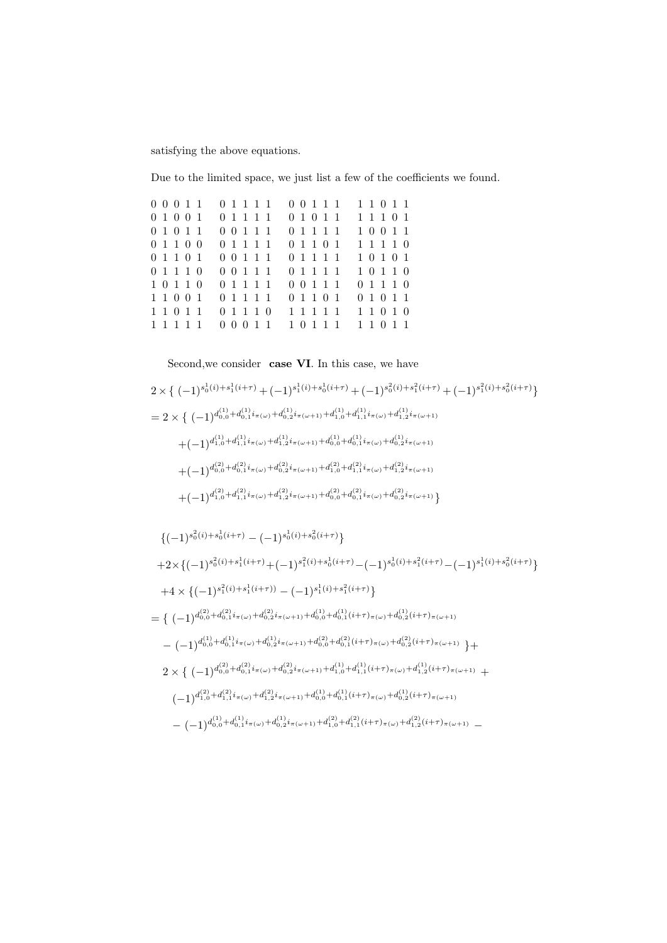satisfying the above equations.

Due to the limited space, we just list a few of the coefficients we found.

|  |                                                                                                             |                     | 1 1 0 1 1                                                                                                                                                                     |
|--|-------------------------------------------------------------------------------------------------------------|---------------------|-------------------------------------------------------------------------------------------------------------------------------------------------------------------------------|
|  |                                                                                                             |                     | 1 1 1 0 1                                                                                                                                                                     |
|  |                                                                                                             |                     | 1 0 0 1 1                                                                                                                                                                     |
|  |                                                                                                             |                     | 1 1 1 1 0                                                                                                                                                                     |
|  | 0 0 1 1 1                                                                                                   |                     | 1 0 1 0 1                                                                                                                                                                     |
|  | 0 0 1 1 1                                                                                                   |                     | 10110                                                                                                                                                                         |
|  | 0 1 1 1 1                                                                                                   |                     | 01110                                                                                                                                                                         |
|  | 0 1 1 1 1                                                                                                   |                     | 0 1 0 1 1                                                                                                                                                                     |
|  | 0 1 1 1 0                                                                                                   | 1 1 1 1 1           | 1 1 0 1 0                                                                                                                                                                     |
|  |                                                                                                             | 1 0 1 1 1 1 1 0 1 1 |                                                                                                                                                                               |
|  | $0\; 0\; 0\; 1\; 1$<br>0 1 0 0 1<br>01011<br>01100<br>01101<br>01110<br>1 0 1 1 0<br>1 1 0 0 1<br>1 1 0 1 1 | 1 1 1 1 1           | 0 1 1 1 1 0 0 1 1 1<br>0 1 1 1 1 0 1 0 1 1<br>0 0 1 1 1 0 1 1 1 1<br>0 1 1 1 1 0 1 1 0 1<br>0 1 1 1 1<br>0 1 1 1 1<br>$0 \t0 \t1 \t1 \t1$<br>0 1 1 0 1<br>$0 \t0 \t0 \t1 \t1$ |

Second, we consider case VI. In this case, we have

$$
2 \times \left\{ (-1)^{s_0^1(i) + s_1^1(i+\tau)} + (-1)^{s_1^1(i) + s_0^1(i+\tau)} + (-1)^{s_0^2(i) + s_1^2(i+\tau)} + (-1)^{s_1^2(i) + s_0^2(i+\tau)} \right\}
$$
  
\n
$$
= 2 \times \left\{ (-1)^{d_{0,0}^{(1)} + d_{0,1}^{(1)} i_{\pi(\omega)} + d_{0,2}^{(1)} i_{\pi(\omega+1)} + d_{1,0}^{(1)} + d_{1,1}^{(1)} i_{\pi(\omega)} + d_{1,2}^{(1)} i_{\pi(\omega+1)}} + (-1)^{d_{1,0}^{(1)} + d_{1,1}^{(1)} i_{\pi(\omega)} + d_{1,2}^{(1)} i_{\pi(\omega+1)} + d_{0,0}^{(1)} + d_{0,1}^{(1)} i_{\pi(\omega)} + d_{0,2}^{(1)} i_{\pi(\omega+1)} + d_{1,1}^{(2)} i_{\pi(\omega+1)} + d_{1,2}^{(2)} i_{\pi(\omega+1)}
$$
  
\n
$$
+ (-1)^{d_{0,0}^{(2)} + d_{0,1}^{(2)} i_{\pi(\omega)} + d_{0,2}^{(2)} i_{\pi(\omega+1)} + d_{1,0}^{(2)} + d_{1,1}^{(2)} i_{\pi(\omega)} + d_{1,2}^{(2)} i_{\pi(\omega+1)}
$$
  
\n
$$
+ (-1)^{d_{1,0}^{(2)} + d_{1,1}^{(2)} i_{\pi(\omega)} + d_{1,2}^{(2)} i_{\pi(\omega+1)} + d_{0,0}^{(2)} + d_{0,1}^{(2)} i_{\pi(\omega)} + d_{0,2}^{(2)} i_{\pi(\omega+1)} }
$$

$$
\begin{split}\n&\{(-1)^{s_0^2(i)+s_0^1(i+\tau)} - (-1)^{s_0^1(i)+s_0^2(i+\tau)}\} \\
&+2 \times \{(-1)^{s_0^2(i)+s_1^1(i+\tau)} + (-1)^{s_1^2(i)+s_0^1(i+\tau)} - (-1)^{s_0^1(i)+s_1^2(i+\tau)} - (-1)^{s_1^1(i)+s_0^2(i+\tau)}\} \\
&+4 \times \{(-1)^{s_1^2(i)+s_1^1(i+\tau))} - (-1)^{s_1^1(i)+s_1^2(i+\tau)}\} \\
&= \{(-1)^{d_{0,0}^{(2)}+d_{0,1}^{(2)}i_{\pi(\omega)}+d_{0,2}^{(2)}i_{\pi(\omega+1)}+d_{0,0}^{(1)}+d_{0,1}^{(1)}(i+\tau)_{\pi(\omega)}+d_{0,2}^{(1)}(i+\tau)_{\pi(\omega+1)}} - (-1)^{d_{0,0}^{(1)}+d_{0,1}^{(1)}i_{\pi(\omega)}+d_{0,2}^{(2)}i_{\pi(\omega+1)}+d_{0,0}^{(2)}+d_{0,1}^{(2)}(i+\tau)_{\pi(\omega)}+d_{0,2}^{(2)}(i+\tau)_{\pi(\omega+1)}}\} \\
&+2 \times \{(-1)^{d_{0,0}^{(2)}+d_{0,1}^{(2)}i_{\pi(\omega)}+d_{0,2}^{(2)}i_{\pi(\omega+1)}+d_{1,0}^{(1)}+d_{1,1}^{(1)}(i+\tau)_{\pi(\omega)}+d_{1,2}^{(1)}(i+\tau)_{\pi(\omega+1)}} + (-1)^{d_{1,0}^{(2)}+d_{1,1}^{(2)}i_{\pi(\omega)}+d_{1,2}^{(2)}i_{\pi(\omega+1)}+d_{0,0}^{(1)}+d_{0,1}^{(1)}(i+\tau)_{\pi(\omega)}+d_{0,2}^{(1)}(i+\tau)_{\pi(\omega+1)}} - (-1)^{d_{0,0}^{(1)}+d_{0,1}^{(1)}i_{\pi(\omega)}+d_{0,2}^{(2)}i_{\pi(\omega+1)}+d_{1,0}^{(2)}+d_{1,1}^{(2)}(i+\tau)_{\pi(\omega)}+d_{1,2}^{(2)}(i+\tau)_{\pi(\omega+1)}}
$$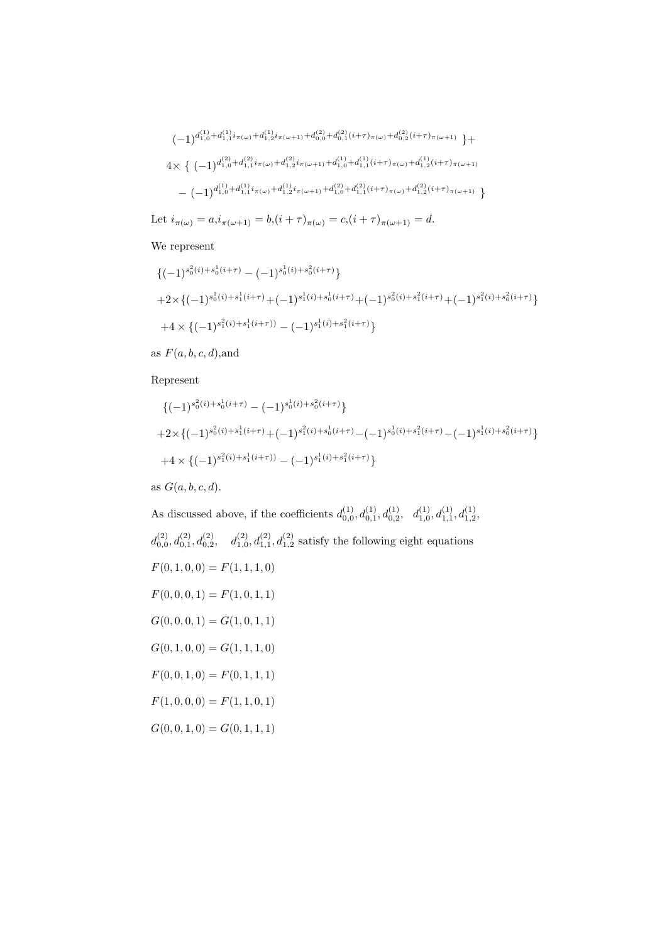$$
(-1)^{d_{1,0}^{(1)} + d_{1,1}^{(1)} i_{\pi(\omega)} + d_{1,2}^{(1)} i_{\pi(\omega+1)} + d_{0,0}^{(2)} + d_{0,1}^{(2)} (i+\tau)_{\pi(\omega)} + d_{0,2}^{(2)} (i+\tau)_{\pi(\omega+1)}} +
$$
  
\n
$$
4 \times \left\{ (-1)^{d_{1,0}^{(2)} + d_{1,1}^{(2)} i_{\pi(\omega)} + d_{1,2}^{(2)} i_{\pi(\omega+1)} + d_{1,0}^{(1)} + d_{1,1}^{(1)} (i+\tau)_{\pi(\omega)} + d_{1,2}^{(1)} (i+\tau)_{\pi(\omega+1)}} - (-1)^{d_{1,0}^{(1)} + d_{1,1}^{(1)} i_{\pi(\omega)} + d_{1,2}^{(1)} i_{\pi(\omega+1)} + d_{1,0}^{(2)} + d_{1,1}^{(2)} (i+\tau)_{\pi(\omega)} + d_{1,2}^{(2)} (i+\tau)_{\pi(\omega+1)}} \right\}
$$

Let  $i_{\pi(\omega)} = a_i i_{\pi(\omega+1)} = b_i (i+\tau)_{\pi(\omega)} = c_i (i+\tau)_{\pi(\omega+1)} = d.$ 

#### We represent

$$
\begin{aligned} &\left\{(-1)^{s_0^2(i)+s_0^1(i+\tau)}-(-1)^{s_0^1(i)+s_0^2(i+\tau)}\right\} \\ &+2\times\left\{(-1)^{s_0^1(i)+s_1^1(i+\tau)}+(-1)^{s_1^1(i)+s_0^1(i+\tau)}+(-1)^{s_0^2(i)+s_1^2(i+\tau)}+(-1)^{s_1^2(i)+s_0^2(i+\tau)}\right\} \\ &+4\times\left\{(-1)^{s_1^2(i)+s_1^1(i+\tau))}-(-1)^{s_1^1(i)+s_1^2(i+\tau)}\right\} \end{aligned}
$$

as  $F(a, b, c, d)$ , and

#### Represent

$$
\begin{aligned} & \left\{ (-1)^{s_0^2(i) + s_0^1(i+\tau)} - (-1)^{s_0^1(i) + s_0^2(i+\tau)} \right\} \\ & + 2 \times \left\{ (-1)^{s_0^2(i) + s_1^1(i+\tau)} + (-1)^{s_1^2(i) + s_0^1(i+\tau)} - (-1)^{s_0^1(i) + s_1^2(i+\tau)} - (-1)^{s_1^1(i) + s_0^2(i+\tau)} \right\} \\ & + 4 \times \left\{ (-1)^{s_1^2(i) + s_1^1(i+\tau)} - (-1)^{s_1^1(i) + s_1^2(i+\tau)} \right\} \end{aligned}
$$

as  $G(a, b, c, d)$ .

As discussed above, if the coefficients  $d_{0,0}^{(1)}, d_{0,1}^{(1)}, d_{0,2}^{(1)}, d_{1,0}^{(1)}, d_{1,1}^{(1)}, d_{1,2}^{(1)}$  $d_{0,0}^{(2)}, d_{0,1}^{(2)}, d_{0,2}^{(2)}, d_{1,0}^{(2)}, d_{1,1}^{(2)}, d_{1,2}^{(2)}$  satisfy the following eight equations  $F(0, 1, 0, 0) = F(1, 1, 1, 0)$  $F(0, 0, 0, 1) = F(1, 0, 1, 1)$  $G(0, 0, 0, 1) = G(1, 0, 1, 1)$  $G(0, 1, 0, 0) = G(1, 1, 1, 0)$  $F(0, 0, 1, 0) = F(0, 1, 1, 1)$  $F(1, 0, 0, 0) = F(1, 1, 0, 1)$  $G(0, 0, 1, 0) = G(0, 1, 1, 1)$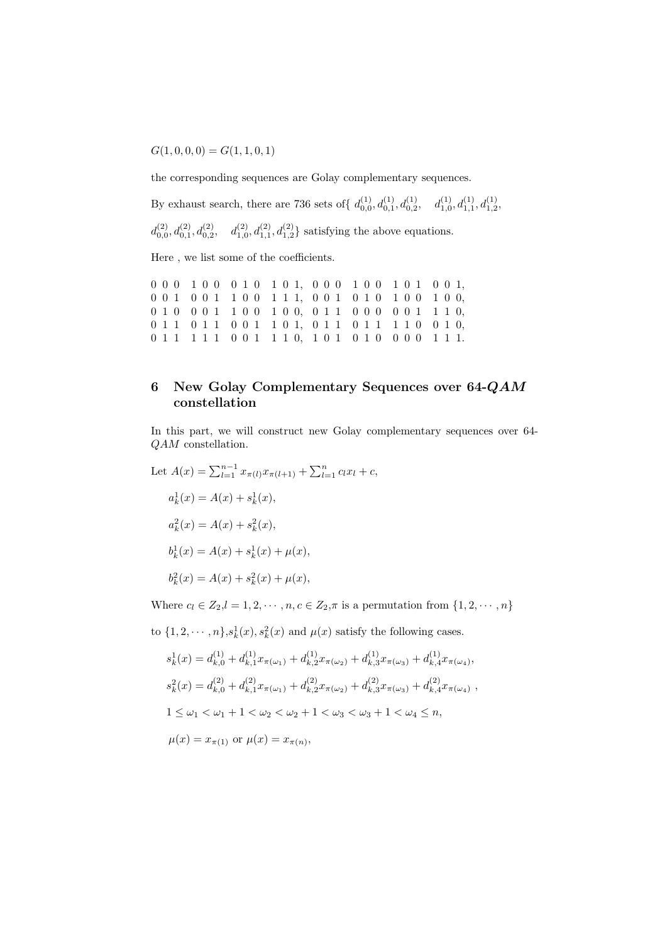$G(1, 0, 0, 0) = G(1, 1, 0, 1)$ 

the corresponding sequences are Golay complementary sequences.

By exhaust search, there are 736 sets of  $\{d_{0,0}^{(1)}, d_{0,1}^{(1)}, d_{0,2}^{(1)}, d_{1,0}^{(1)}, d_{1,1}^{(1)}, d_{1,2}^{(1)},$ 

 $d_{0,0}^{(2)}, d_{0,1}^{(2)}, d_{0,2}^{(2)}, d_{1,0}^{(2)}, d_{1,1}^{(2)}, d_{1,2}^{(2)}$  satisfying the above equations.

Here , we list some of the coefficients.

0 0 0 1 0 0 0 1 0 1 0 1, 0 0 0 1 0 0 1 0 1 0 0 1, 0 0 1 0 0 1 1 0 0 1 1 1, 0 0 1 0 1 0 1 0 0 1 0 0, 0 1 0 0 0 1 1 0 0 1 0 0, 0 1 1 0 0 0 0 0 1 1 1 0, 0 1 1 0 1 1 0 0 1 1 0 1, 0 1 1 0 1 1 1 1 0 0 1 0, 0 1 1 1 1 1 0 0 1 1 1 0, 1 0 1 0 1 0 0 0 0 1 1 1.

# 6 New Golay Complementary Sequences over 64-QAM constellation

In this part, we will construct new Golay complementary sequences over 64- QAM constellation.

Let 
$$
A(x) = \sum_{l=1}^{n-1} x_{\pi(l)} x_{\pi(l+1)} + \sum_{l=1}^{n} c_l x_l + c,
$$
  
\n $a_k^1(x) = A(x) + s_k^1(x),$   
\n $a_k^2(x) = A(x) + s_k^2(x),$   
\n $b_k^1(x) = A(x) + s_k^1(x) + \mu(x),$   
\n $b_k^2(x) = A(x) + s_k^2(x) + \mu(x),$ 

Where  $c_l \in Z_2, l = 1, 2, \cdots, n, c \in Z_2, \pi$  is a permutation from  $\{1, 2, \cdots, n\}$ 

to  $\{1, 2, \dots, n\}$ ,  $s_k^1(x)$ ,  $s_k^2(x)$  and  $\mu(x)$  satisfy the following cases.

$$
s_k^1(x) = d_{k,0}^{(1)} + d_{k,1}^{(1)} x_{\pi(\omega_1)} + d_{k,2}^{(1)} x_{\pi(\omega_2)} + d_{k,3}^{(1)} x_{\pi(\omega_3)} + d_{k,4}^{(1)} x_{\pi(\omega_4)},
$$
  
\n
$$
s_k^2(x) = d_{k,0}^{(2)} + d_{k,1}^{(2)} x_{\pi(\omega_1)} + d_{k,2}^{(2)} x_{\pi(\omega_2)} + d_{k,3}^{(2)} x_{\pi(\omega_3)} + d_{k,4}^{(2)} x_{\pi(\omega_4)},
$$
  
\n
$$
1 \le \omega_1 < \omega_1 + 1 < \omega_2 < \omega_2 + 1 < \omega_3 < \omega_3 + 1 < \omega_4 \le n,
$$
  
\n
$$
\mu(x) = x_{\pi(1)} \text{ or } \mu(x) = x_{\pi(n)},
$$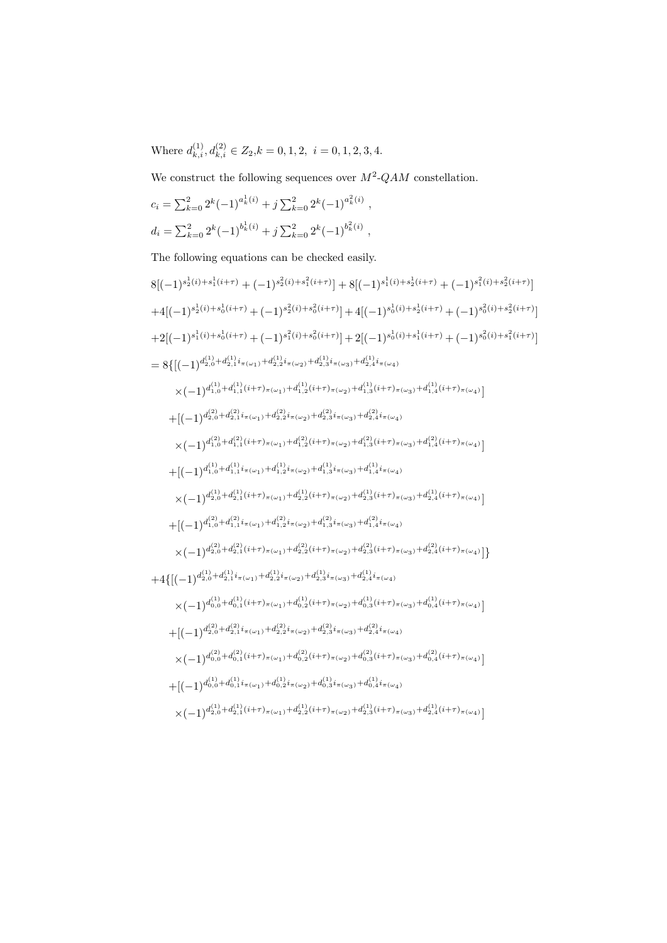Where  $d_{k,i}^{(1)}, d_{k,i}^{(2)} \in Z_2, k = 0, 1, 2, i = 0, 1, 2, 3, 4.$ 

We construct the following sequences over  $M^2$ -QAM constellation.

$$
c_i = \sum_{k=0}^{2} 2^k (-1)^{a_k^1(i)} + j \sum_{k=0}^{2} 2^k (-1)^{a_k^2(i)},
$$
  

$$
d_i = \sum_{k=0}^{2} 2^k (-1)^{b_k^1(i)} + j \sum_{k=0}^{2} 2^k (-1)^{b_k^2(i)},
$$

The following equations can be checked easily.

$$
8[(-1)^{s_2^1(i)+s_1^1(i+\tau)} + (-1)^{s_2^2(i)+s_1^2(i+\tau)}] + 8[(-1)^{s_1^1(i)+s_2^1(i+\tau)} + (-1)^{s_1^2(i)+s_2^2(i+\tau)}]
$$
\n
$$
+4[(-1)^{s_2^1(i)+s_0^1(i+\tau)} + (-1)^{s_2^2(i)+s_0^2(i+\tau)}] + 4[(-1)^{s_0^1(i)+s_2^1(i+\tau)} + (-1)^{s_0^2(i)+s_2^2(i+\tau)}]
$$
\n
$$
+2[(-1)^{s_1^1(i)+s_0^1(i+\tau)} + (-1)^{s_1^2(i)+s_0^2(i+\tau)}] + 2[(-1)^{s_0^1(i)+s_1^1(i+\tau)} + (-1)^{s_0^2(i)+s_1^2(i+\tau)}]
$$
\n
$$
= 8\{[(-1)^{d_{2,0}^{(1)}+d_{2,1}^{(1)}i_{\pi(\omega_1)}+d_{2,2}^{(1)}i_{\pi(\omega_2)}+d_{2,3}^{(1)}i_{\pi(\omega_3)}+d_{2,4}^{(1)}i_{\pi(\omega_4)}]
$$
\n
$$
\times (-1)^{d_{1,0}^{(1)}+d_{1,1}^{(1)}(i+\tau)} \pi(\omega_1) + d_{1,2}^{(2)}(i+\tau)} \pi(\omega_2) + d_{1,3}^{(1)}(i+\tau)} \pi(\omega_3) + d_{1,4}^{(1)}(i+\tau)} \pi(\omega_4)]
$$
\n
$$
+[(-1)^{d_{2,0}^{(2)}+d_{2,1}^{(2)}i_{\pi(\omega_1)}+d_{2,2}^{(2)}i_{\pi(\omega_2)}+d_{2,3}^{(2)}i_{\pi(\omega_4)}]
$$
\n
$$
\times (-1)^{d_{1,0}^{(1)}+d_{1,1}^{(1)}i_{\pi(\omega_1)}+d_{1,2}^{(2)}i_{\pi(\omega_2)}+d_{1,3}^{(2)}i_{\pi(\omega_4)}
$$
\n
$$
\times (-1)^{d_{2,0}^{(1)}+d_{2,1}^{(1)}(i+\tau)} \pi(\omega_1) + d_{1,2}^{(1)}i_{\pi(\omega_2)} + d_{1,
$$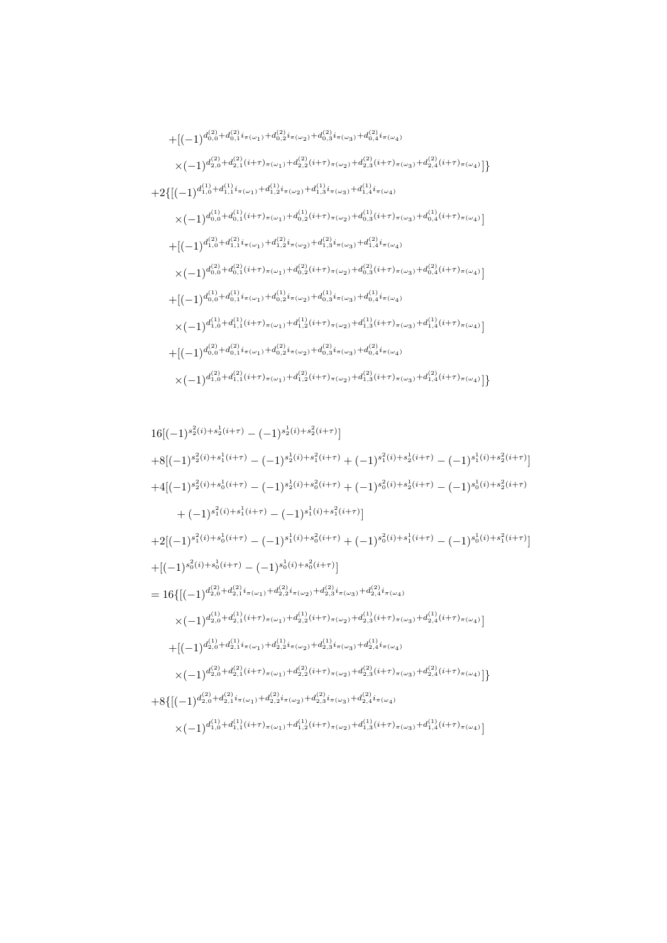$$
16[(-1)^{s_{2}^{2}(i)+s_{2}^{1}(i+\tau)}-(-1)^{s_{2}^{1}(i)+s_{2}^{2}(i+\tau)}]
$$
\n
$$
+8[(-1)^{s_{2}^{2}(i)+s_{1}^{1}(i+\tau)}-(-1)^{s_{2}^{1}(i)+s_{1}^{2}(i+\tau)}+(-1)^{s_{1}^{2}(i)+s_{2}^{1}(i+\tau)}-(-1)^{s_{1}^{1}(i)+s_{2}^{2}(i+\tau)}]
$$
\n
$$
+4[(-1)^{s_{2}^{2}(i)+s_{0}^{1}(i+\tau)}-(-1)^{s_{2}^{1}(i)+s_{0}^{2}(i+\tau)}+(-1)^{s_{0}^{2}(i)+s_{2}^{1}(i+\tau)}-(-1)^{s_{0}^{1}(i)+s_{2}^{2}(i+\tau)}
$$
\n
$$
+(-1)^{s_{1}^{2}(i)+s_{1}^{1}(i+\tau)}-(-1)^{s_{1}^{1}(i)+s_{1}^{2}(i+\tau)}]
$$
\n
$$
+2[(-1)^{s_{1}^{2}(i)+s_{0}^{1}(i+\tau)}-(-1)^{s_{1}^{1}(i)+s_{0}^{2}(i+\tau)}+(-1)^{s_{0}^{2}(i)+s_{1}^{1}(i+\tau)}-(-1)^{s_{0}^{1}(i)+s_{1}^{2}(i+\tau)}]
$$
\n
$$
+[(-1)^{s_{0}^{2}(i)+s_{0}^{1}(i+\tau)}-(-1)^{s_{0}^{1}(i)+s_{0}^{2}(i+\tau)}]
$$
\n
$$
=16\{[(-1)^{d_{2,0}^{2}}+d_{2,1}^{2}i_{\pi(\omega_{1})}+d_{2,2}^{2}i_{\pi(\omega_{2})}+d_{2,3}^{2}i_{\pi(\omega_{3})}+d_{2,4}^{2}i_{\pi(\omega_{4})}
$$
\n
$$
\times(-1)^{d_{2,0}^{(1)}+d_{2,1}^{(1}(i+\tau)}\pi(\omega_{1})+d_{2,2}^{(1)}i_{\pi(\omega_{2})}+d_{2,3}^{(1)}i_{\pi(\omega_{4})}
$$
\n
$$
+[(-1)^{d_{2,0}^{(1)}+d_{2,1}^{(1)}i_{\pi(\omega_{1})}+d_{2,2}^{
$$

$$
+ [(-1)^{d_{0,0}^{(2)}+d_{0,1}^{(2)}i_{\pi(\omega_{1})}+d_{0,2}^{(2)}i_{\pi(\omega_{2})}+d_{0,3}^{(2)}i_{\pi(\omega_{3})}+d_{0,4}^{(2)}i_{\pi(\omega_{4})}} \\ \times (-1)^{d_{2,0}^{(2)}+d_{2,1}^{(2)}(i+\tau)_{\pi(\omega_{1})}+d_{2,2}^{(2)}(i+\tau)_{\pi(\omega_{2})}+d_{2,3}^{(2)}(i+\tau)_{\pi(\omega_{3})}+d_{2,4}^{(2)}(i+\tau)_{\pi(\omega_{4})}}]\}+ 2\{[(-1)^{d_{1,0}^{(1)}+d_{1,1}^{(1)}i_{\pi(\omega_{1})}+d_{1,2}^{(1)}i_{\pi(\omega_{2})}+d_{1,3}^{(1)}i_{\pi(\omega_{3})}+d_{1,4}^{(1)}i_{\pi(\omega_{4})}} \\ \times (-1)^{d_{0,0}^{(1)}+d_{0,1}^{(1)}(i+\tau)_{\pi(\omega_{1})}+d_{0,2}^{(1)}(i+\tau)_{\pi(\omega_{2})}+d_{0,3}^{(1)}(i+\tau)_{\pi(\omega_{3})}+d_{0,4}^{(1)}(i+\tau)_{\pi(\omega_{4})}}]\}+ [(-1)^{d_{1,0}^{(2)}+d_{1,1}^{(2)}i_{\pi(\omega_{1})}+d_{1,2}^{(2)}i_{\pi(\omega_{2})}+d_{1,3}^{(2)}i_{\pi(\omega_{3})}+d_{1,4}^{(2)}i_{\pi(\omega_{4})}} \\ \times (-1)^{d_{0,0}^{(2)}+d_{0,1}^{(2)}(i+\tau)_{\pi(\omega_{1})}+d_{0,2}^{(2)}(i+\tau)_{\pi(\omega_{2})}+d_{0,3}^{(2)}(i+\tau)_{\pi(\omega_{3})}+d_{0,4}^{(2)}(i+\tau)_{\pi(\omega_{4})}}]}\\+ [(-1)^{d_{0,0}^{(1)}+d_{0,1}^{(1)}i_{\pi(\omega_{1})}+d_{0,2}^{(1)}i_{\pi(\omega_{2})}+d_{0,3}^{(1)}i_{\pi(\omega_{4})}} \\ \times (-1)^{d_{1,0}^{(1)}
$$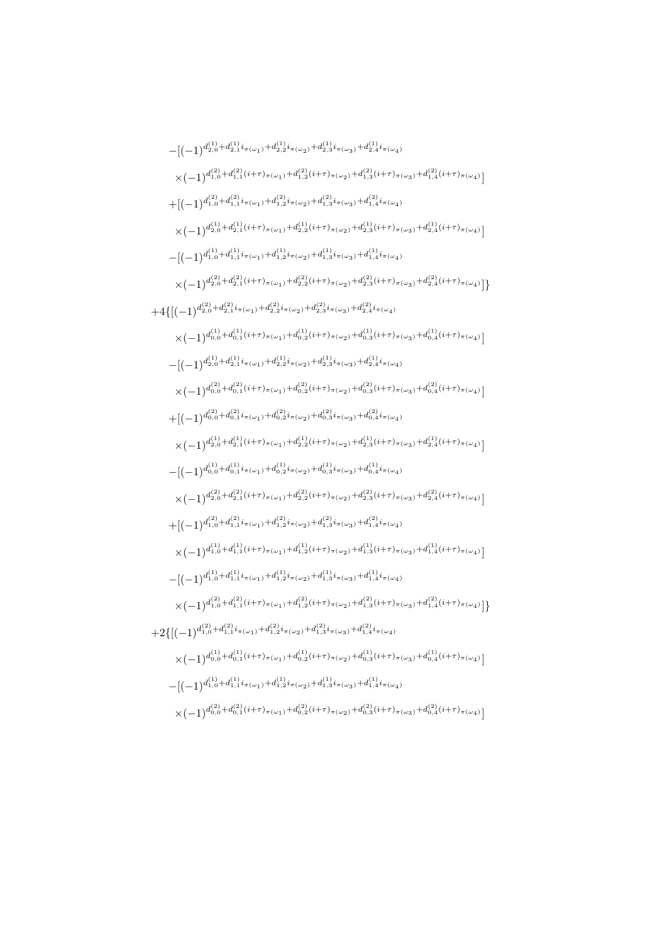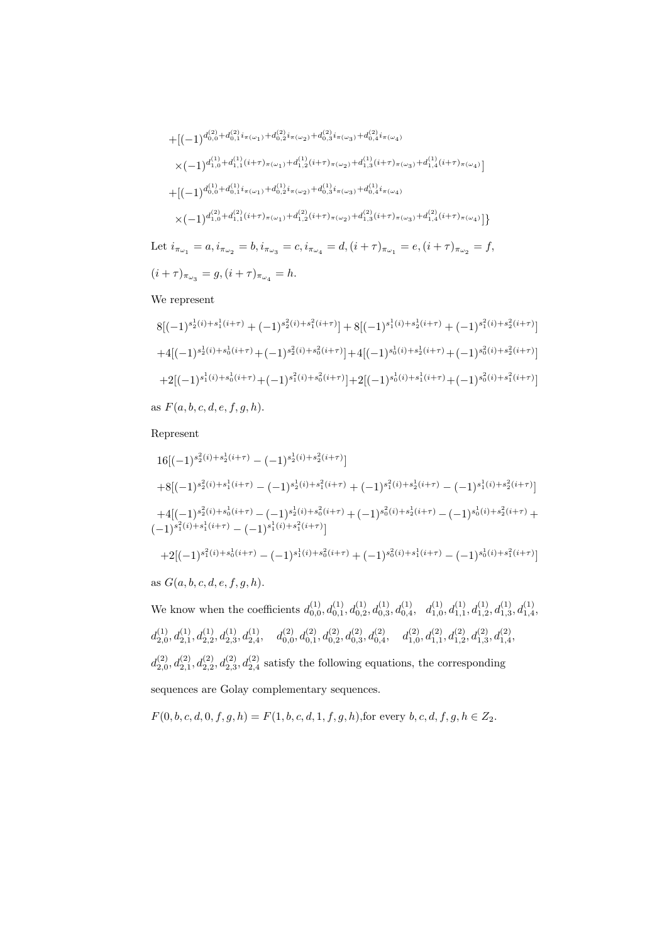$$
+ [(-1)^{d_{0,0}^{(2)} + d_{0,1}^{(2)} i_{\pi(\omega_1)} + d_{0,2}^{(2)} i_{\pi(\omega_2)} + d_{0,3}^{(2)} i_{\pi(\omega_3)} + d_{0,4}^{(2)} i_{\pi(\omega_4)} }
$$
\n
$$
\times (-1)^{d_{1,0}^{(1)} + d_{1,1}^{(1)} (i+\tau)_{\pi(\omega_1)} + d_{1,2}^{(1)} (i+\tau)_{\pi(\omega_2)} + d_{1,3}^{(1)} (i+\tau)_{\pi(\omega_3)} + d_{1,4}^{(1)} (i+\tau)_{\pi(\omega_4)} }
$$
\n
$$
+ [(-1)^{d_{0,0}^{(1)} + d_{0,1}^{(1)} i_{\pi(\omega_1)} + d_{0,2}^{(1)} i_{\pi(\omega_2)} + d_{0,3}^{(1)} i_{\pi(\omega_3)} + d_{0,4}^{(1)} i_{\pi(\omega_4)} }
$$
\n
$$
\times (-1)^{d_{1,0}^{(2)} + d_{1,1}^{(2)} (i+\tau)_{\pi(\omega_1)} + d_{1,2}^{(2)} (i+\tau)_{\pi(\omega_2)} + d_{1,3}^{(2)} (i+\tau)_{\pi(\omega_3)} + d_{1,4}^{(2)} (i+\tau)_{\pi(\omega_4)} }
$$
\n
$$
i_{\pi} = a, i_{\pi} = b, i_{\pi} = c, i_{\pi} = d, (i+\tau)_{\pi} = e, (i+\tau)_{\pi} = f
$$

Let  $i_{\pi_{\omega_1}} = a, i_{\pi_{\omega_2}} = b, i_{\pi_{\omega_3}}$  $=c, i_{\pi_{\omega_4}} = d, (i+\tau)_{\pi_{\omega_1}} = e, (i+\tau)_{\pi_{\omega_2}} = f,$  $(i + \tau)_{\pi_{\omega_3}} = g, (i + \tau)_{\pi_{\omega_4}} = h.$ 

#### We represent

8[(−1)<sup>s</sup> 1 2 (i)+s 1 1 (i+τ) + (−1)<sup>s</sup> 2 2 (i)+s 2 1 (i+τ) ] + 8[(−1)<sup>s</sup> 1 1 (i)+s 1 2 (i+τ) + (−1)<sup>s</sup> 2 1 (i)+s 2 2 (i+τ) ] +4[(−1)<sup>s</sup> 1 2 (i)+s 1 0 (i+τ)+(−1)<sup>s</sup> 2 2 (i)+s 2 0 (i+τ) ]+4[(−1)<sup>s</sup> 1 0 (i)+s 1 2 (i+τ)+(−1)<sup>s</sup> 2 0 (i)+s 2 2 (i+τ) ] +2[(−1)<sup>s</sup> 1 1 (i)+s 1 0 (i+τ)+(−1)<sup>s</sup> 2 1 (i)+s 2 0 (i+τ) ]+2[(−1)<sup>s</sup> 1 0 (i)+s 1 1 (i+τ)+(−1)<sup>s</sup> 2 0 (i)+s 2 1 (i+τ) ]

as  $F(a, b, c, d, e, f, g, h)$ .

#### Represent

$$
16[(-1)^{s_2^2(i)+s_2^1(i+\tau)} - (-1)^{s_2^1(i)+s_2^2(i+\tau)}]
$$
  
\n
$$
+8[(-1)^{s_2^2(i)+s_1^1(i+\tau)} - (-1)^{s_2^1(i)+s_1^2(i+\tau)} + (-1)^{s_1^2(i)+s_2^1(i+\tau)} - (-1)^{s_1^1(i)+s_2^2(i+\tau)}]
$$
  
\n
$$
+4[(-1)^{s_2^2(i)+s_0^1(i+\tau)} - (-1)^{s_2^1(i)+s_0^2(i+\tau)} + (-1)^{s_0^2(i)+s_2^1(i+\tau)} - (-1)^{s_0^1(i)+s_2^2(i+\tau)} + (-1)^{s_1^2(i)+s_1^1(i+\tau)} - (-1)^{s_1^1(i)+s_0^2(i+\tau)}]
$$
  
\n
$$
+2[(-1)^{s_1^2(i)+s_0^1(i+\tau)} - (-1)^{s_1^1(i)+s_0^2(i+\tau)} + (-1)^{s_0^2(i)+s_1^1(i+\tau)} - (-1)^{s_0^1(i)+s_1^2(i+\tau)}]
$$
  
\nas  $G(a, b, c, d, e, f, g, h)$ .

We know when the coefficients  $d_{0,0}^{(1)}, d_{0,1}^{(1)}, d_{0,2}^{(1)}, d_{0,3}^{(1)}, d_{0,4}^{(1)}, d_{1,0}^{(1)}, d_{1,1}^{(1)}, d_{1,2}^{(1)}, d_{1,3}^{(1)}, d_{1,4}^{(1)}$  $d_{2,0}^{(1)}, d_{2,1}^{(1)}, d_{2,2}^{(1)}, d_{2,3}^{(1)}, d_{2,4}^{(1)}, \quad d_{0,0}^{(2)}, d_{0,1}^{(2)}, d_{0,2}^{(2)}, d_{0,3}^{(2)}, d_{0,4}^{(2)}, \quad d_{1,0}^{(2)}, d_{1,1}^{(2)}, d_{1,2}^{(2)}, d_{1,3}^{(2)}, d_{1,4}^{(2)},$  $d_{2,0}^{(2)}, d_{2,1}^{(2)}, d_{2,2}^{(2)}, d_{2,3}^{(2)}$  satisfy the following equations, the corresponding sequences are Golay complementary sequences.

$$
F(0, b, c, d, 0, f, g, h) = F(1, b, c, d, 1, f, g, h)
$$
, for every  $b, c, d, f, g, h \in Z_2$ .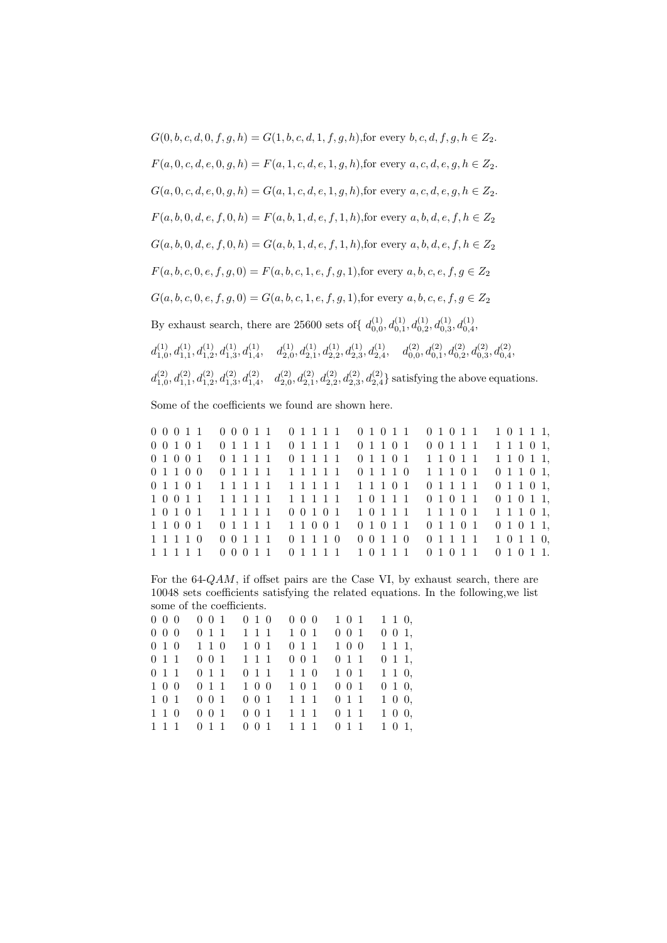$G(0, b, c, d, 0, f, g, h) = G(1, b, c, d, 1, f, g, h)$ , for every  $b, c, d, f, g, h \in Z_2$ .  $F(a, 0, c, d, e, 0, g, h) = F(a, 1, c, d, e, 1, g, h)$ , for every  $a, c, d, e, g, h \in Z_2$ .  $G(a, 0, c, d, e, 0, g, h) = G(a, 1, c, d, e, 1, g, h)$ , for every  $a, c, d, e, g, h \in Z_2$ .  $F(a, b, 0, d, e, f, 0, h) = F(a, b, 1, d, e, f, 1, h)$ , for every  $a, b, d, e, f, h \in Z_2$  $G(a, b, 0, d, e, f, 0, h) = G(a, b, 1, d, e, f, 1, h)$ , for every a, b, d, e, f,  $h \in Z_2$  $F(a, b, c, 0, e, f, g, 0) = F(a, b, c, 1, e, f, g, 1)$ , for every  $a, b, c, e, f, g \in Z_2$  $G(a, b, c, 0, e, f, g, 0) = G(a, b, c, 1, e, f, g, 1)$ , for every  $a, b, c, e, f, g \in Z_2$ By exhaust search, there are 25600 sets of  $\{d_{0,0}^{(1)}, d_{0,1}^{(1)}, d_{0,2}^{(1)}, d_{0,3}^{(1)}, d_{0,4}^{(1)}\}$  $d_{1,0}^{(1)}, d_{1,1}^{(1)}, d_{1,2}^{(1)}, d_{1,3}^{(1)}, d_{1,4}^{(1)}, \quad d_{2,0}^{(1)}, d_{2,1}^{(1)}, d_{2,2}^{(1)}, d_{2,3}^{(1)}, d_{2,4}^{(1)}, \quad d_{0,0}^{(2)}, d_{0,1}^{(2)}, d_{0,2}^{(2)}, d_{0,3}^{(2)}, d_{0,4}^{(2)},$  $d_{1,0}^{(2)}, d_{1,1}^{(2)}, d_{1,2}^{(2)}, d_{1,3}^{(2)}, d_{1,4}^{(2)}, d_{2,0}^{(2)}, d_{2,1}^{(2)}, d_{2,2}^{(2)}, d_{2,3}^{(2)}, d_{2,4}^{(2)}$  satisfying the above equations.

Some of the coefficients we found are shown here.

0 0 0 1 1 0 0 0 1 1 0 1 1 1 1 0 1 0 1 1 0 1 0 1 1 1 0 1 1 1, 0 0 1 0 1 0 1 1 1 1 0 1 1 1 1 0 1 1 0 1 0 0 1 1 1 1 1 1 0 1, 0 1 0 0 1 0 1 1 1 1 0 1 1 1 1 0 1 1 0 1 1 1 0 1 1 1 1 0 1 1, 0 1 1 0 0 0 1 1 1 1 1 1 1 1 1 0 1 1 1 0 1 1 1 0 1 0 1 1 0 1, 0 1 1 0 1 1 1 1 1 1 1 1 1 1 1 1 1 1 0 1 0 1 1 1 1 0 1 1 0 1, 1 0 0 1 1 1 1 1 1 1 1 1 1 1 1 1 0 1 1 1 0 1 0 1 1 0 1 0 1 1, 1 0 1 0 1 1 1 1 1 1 0 0 1 0 1 1 0 1 1 1 1 1 1 0 1 1 1 1 0 1, 1 1 0 0 1 0 1 1 1 1 1 1 0 0 1 0 1 0 1 1 0 1 1 0 1 0 1 0 1 1, 1 1 1 1 0 0 0 1 1 1 0 1 1 1 0 0 0 1 1 0 0 1 1 1 1 1 0 1 1 0, 1 1 1 1 1 0 0 0 1 1 0 1 1 1 1 1 0 1 1 1 0 1 0 1 1 0 1 0 1 1.

For the 64-QAM, if offset pairs are the Case VI, by exhaust search, there are 10048 sets coefficients satisfying the related equations. In the following,we list some of the coefficients.

|  |  | 0 0 0 0 0 1 0 1 0 0 0 0 0 1 0 1 1 1 0, |  |
|--|--|----------------------------------------|--|
|  |  | 0 0 0 0 0 1 1 1 1 1 1 0 1 0 0 1 0 0 1, |  |
|  |  | 0 1 0 1 1 0 1 0 1 0 1 1 1 0 0 1 1 1,   |  |
|  |  | 0 1 1 0 0 1 1 1 1 1 0 0 1 0 1 1 0 1 1, |  |
|  |  | 0 1 1 0 1 1 0 1 1 1 1 1 0 1 0 1 1 1 0, |  |
|  |  | 1 0 0 0 1 1 1 0 0 1 0 1 0 0 1 0 1 0,   |  |
|  |  | 1 0 1 0 0 1 0 0 1 1 1 1 0 1 1 1 0 0,   |  |
|  |  | 1 1 0 0 0 1 0 0 1 1 1 1 0 1 1 1 0 0,   |  |
|  |  | 1 1 1 0 1 1 0 0 1 1 1 1 0 1 1 1 0 1,   |  |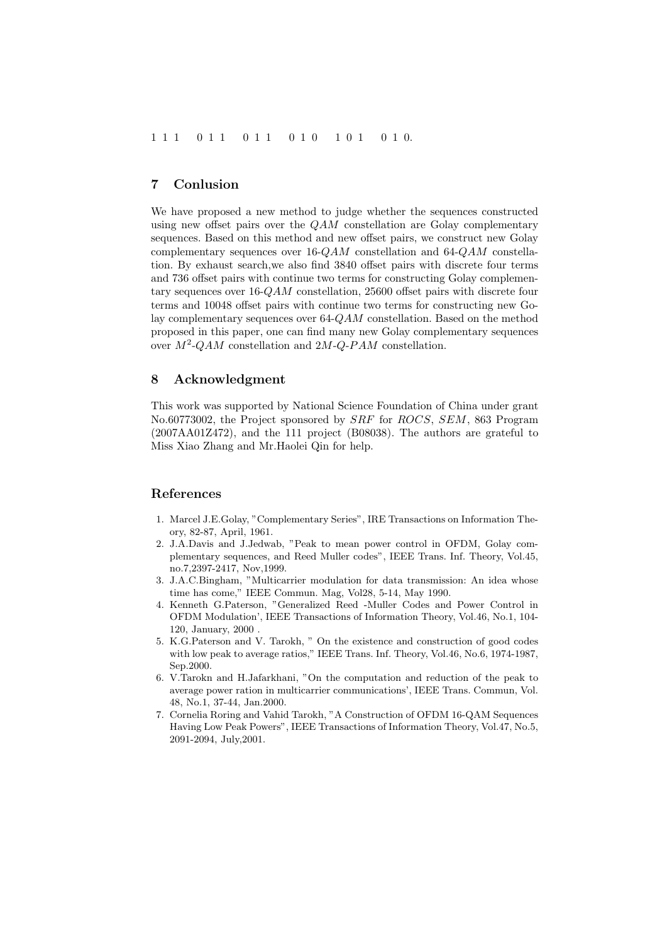#### 7 Conlusion

We have proposed a new method to judge whether the sequences constructed using new offset pairs over the QAM constellation are Golay complementary sequences. Based on this method and new offset pairs, we construct new Golay complementary sequences over 16-QAM constellation and 64-QAM constellation. By exhaust search,we also find 3840 offset pairs with discrete four terms and 736 offset pairs with continue two terms for constructing Golay complementary sequences over 16-QAM constellation, 25600 offset pairs with discrete four terms and 10048 offset pairs with continue two terms for constructing new Golay complementary sequences over 64-QAM constellation. Based on the method proposed in this paper, one can find many new Golay complementary sequences over  $M^2$ -QAM constellation and  $2M$ -Q-PAM constellation.

#### 8 Acknowledgment

This work was supported by National Science Foundation of China under grant No.60773002, the Project sponsored by SRF for ROCS, SEM, 863 Program (2007AA01Z472), and the 111 project (B08038). The authors are grateful to Miss Xiao Zhang and Mr.Haolei Qin for help.

#### References

- 1. Marcel J.E.Golay, "Complementary Series", IRE Transactions on Information Theory, 82-87, April, 1961.
- 2. J.A.Davis and J.Jedwab, "Peak to mean power control in OFDM, Golay complementary sequences, and Reed Muller codes", IEEE Trans. Inf. Theory, Vol.45, no.7,2397-2417, Nov,1999.
- 3. J.A.C.Bingham, "Multicarrier modulation for data transmission: An idea whose time has come," IEEE Commun. Mag, Vol28, 5-14, May 1990.
- 4. Kenneth G.Paterson, "Generalized Reed -Muller Codes and Power Control in OFDM Modulation', IEEE Transactions of Information Theory, Vol.46, No.1, 104- 120, January, 2000 .
- 5. K.G.Paterson and V. Tarokh, " On the existence and construction of good codes with low peak to average ratios," IEEE Trans. Inf. Theory, Vol.46, No.6, 1974-1987, Sep.2000.
- 6. V.Tarokn and H.Jafarkhani, "On the computation and reduction of the peak to average power ration in multicarrier communications', IEEE Trans. Commun, Vol. 48, No.1, 37-44, Jan.2000.
- 7. Cornelia Roring and Vahid Tarokh, "A Construction of OFDM 16-QAM Sequences Having Low Peak Powers", IEEE Transactions of Information Theory, Vol.47, No.5, 2091-2094, July,2001.